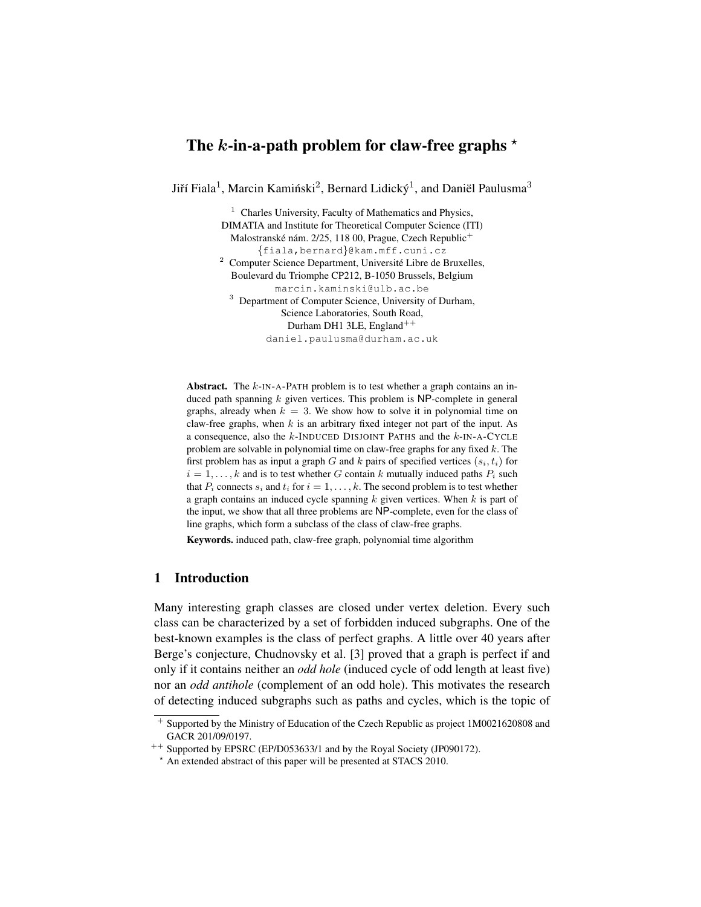# The k-in-a-path problem for claw-free graphs  $\star$

Jiří Fiala<sup>1</sup>, Marcin Kamiński<sup>2</sup>, Bernard Lidický<sup>1</sup>, and Daniël Paulusma<sup>3</sup>

 $<sup>1</sup>$  Charles University, Faculty of Mathematics and Physics,</sup> DIMATIA and Institute for Theoretical Computer Science (ITI) Malostranské nám. 2/25, 118 00, Prague, Czech Republic $^+$ {fiala,bernard}@kam.mff.cuni.cz <sup>2</sup> Computer Science Department, Université Libre de Bruxelles, Boulevard du Triomphe CP212, B-1050 Brussels, Belgium marcin.kaminski@ulb.ac.be <sup>3</sup> Department of Computer Science, University of Durham, Science Laboratories, South Road, Durham DH1 3LE, England<sup>++</sup> daniel.paulusma@durham.ac.uk

**Abstract.** The  $k$ -IN-A-PATH problem is to test whether a graph contains an induced path spanning  $k$  given vertices. This problem is  $NP$ -complete in general graphs, already when  $k = 3$ . We show how to solve it in polynomial time on claw-free graphs, when  $k$  is an arbitrary fixed integer not part of the input. As a consequence, also the  $k$ -INDUCED DISJOINT PATHS and the  $k$ -IN-A-CYCLE problem are solvable in polynomial time on claw-free graphs for any fixed  $k$ . The first problem has as input a graph G and k pairs of specified vertices  $(s_i, t_i)$  for  $i = 1, \ldots, k$  and is to test whether G contain k mutually induced paths  $P_i$  such that  $P_i$  connects  $s_i$  and  $t_i$  for  $i = 1, \ldots, k$ . The second problem is to test whether a graph contains an induced cycle spanning  $k$  given vertices. When  $k$  is part of the input, we show that all three problems are NP-complete, even for the class of line graphs, which form a subclass of the class of claw-free graphs.

Keywords. induced path, claw-free graph, polynomial time algorithm

### 1 Introduction

Many interesting graph classes are closed under vertex deletion. Every such class can be characterized by a set of forbidden induced subgraphs. One of the best-known examples is the class of perfect graphs. A little over 40 years after Berge's conjecture, Chudnovsky et al. [3] proved that a graph is perfect if and only if it contains neither an *odd hole* (induced cycle of odd length at least five) nor an *odd antihole* (complement of an odd hole). This motivates the research of detecting induced subgraphs such as paths and cycles, which is the topic of

<sup>+</sup> Supported by the Ministry of Education of the Czech Republic as project 1M0021620808 and GACR 201/09/0197.

 $^{++}$  Supported by EPSRC (EP/D053633/1 and by the Royal Society (JP090172).

<sup>?</sup> An extended abstract of this paper will be presented at STACS 2010.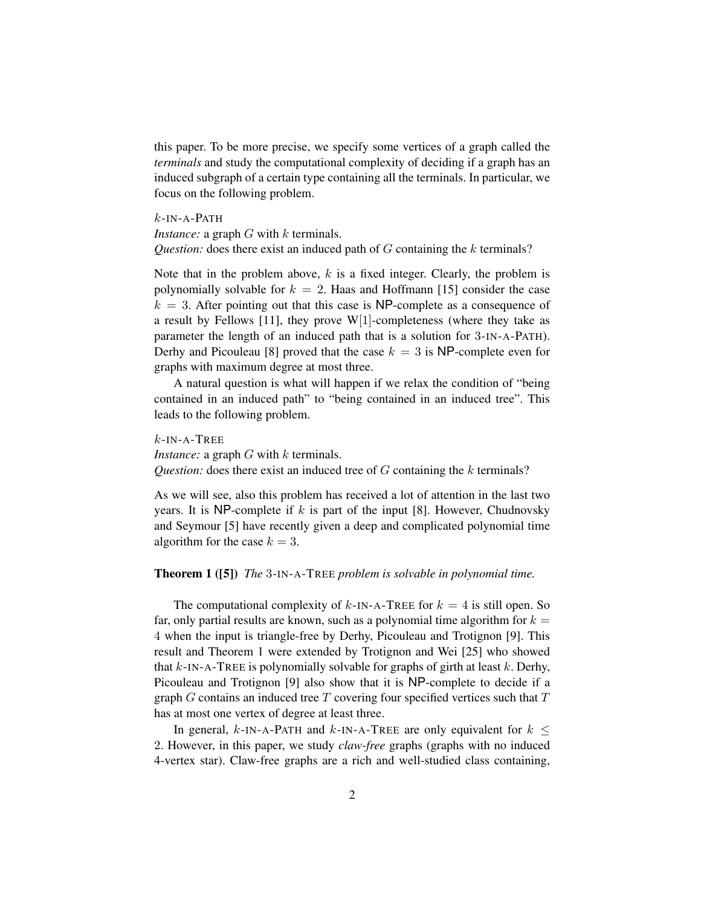this paper. To be more precise, we specify some vertices of a graph called the *terminals* and study the computational complexity of deciding if a graph has an induced subgraph of a certain type containing all the terminals. In particular, we focus on the following problem.

#### $k$ -IN-A-PATH

*Instance:* a graph *G* with *k* terminals. *Question:* does there exist an induced path of G containing the k terminals?

Note that in the problem above,  $k$  is a fixed integer. Clearly, the problem is polynomially solvable for  $k = 2$ . Haas and Hoffmann [15] consider the case  $k = 3$ . After pointing out that this case is NP-complete as a consequence of a result by Fellows [11], they prove W[1]-completeness (where they take as parameter the length of an induced path that is a solution for 3-IN-A-PATH). Derhy and Picouleau [8] proved that the case  $k = 3$  is NP-complete even for graphs with maximum degree at most three.

A natural question is what will happen if we relax the condition of "being contained in an induced path" to "being contained in an induced tree". This leads to the following problem.

 $k$ -IN-A-TREE *Instance:* a graph G with k terminals. *Question:* does there exist an induced tree of G containing the k terminals?

As we will see, also this problem has received a lot of attention in the last two years. It is NP-complete if  $k$  is part of the input [8]. However, Chudnovsky and Seymour [5] have recently given a deep and complicated polynomial time algorithm for the case  $k = 3$ .

### Theorem 1 ([5]) *The* 3-IN-A-TREE *problem is solvable in polynomial time.*

The computational complexity of  $k$ -IN-A-TREE for  $k = 4$  is still open. So far, only partial results are known, such as a polynomial time algorithm for  $k =$ 4 when the input is triangle-free by Derhy, Picouleau and Trotignon [9]. This result and Theorem 1 were extended by Trotignon and Wei [25] who showed that  $k$ -IN-A-TREE is polynomially solvable for graphs of girth at least  $k$ . Derhy, Picouleau and Trotignon [9] also show that it is NP-complete to decide if a graph  $G$  contains an induced tree  $T$  covering four specified vertices such that  $T$ has at most one vertex of degree at least three.

In general, k-IN-A-PATH and k-IN-A-TREE are only equivalent for  $k \leq$ 2. However, in this paper, we study *claw-free* graphs (graphs with no induced 4-vertex star). Claw-free graphs are a rich and well-studied class containing,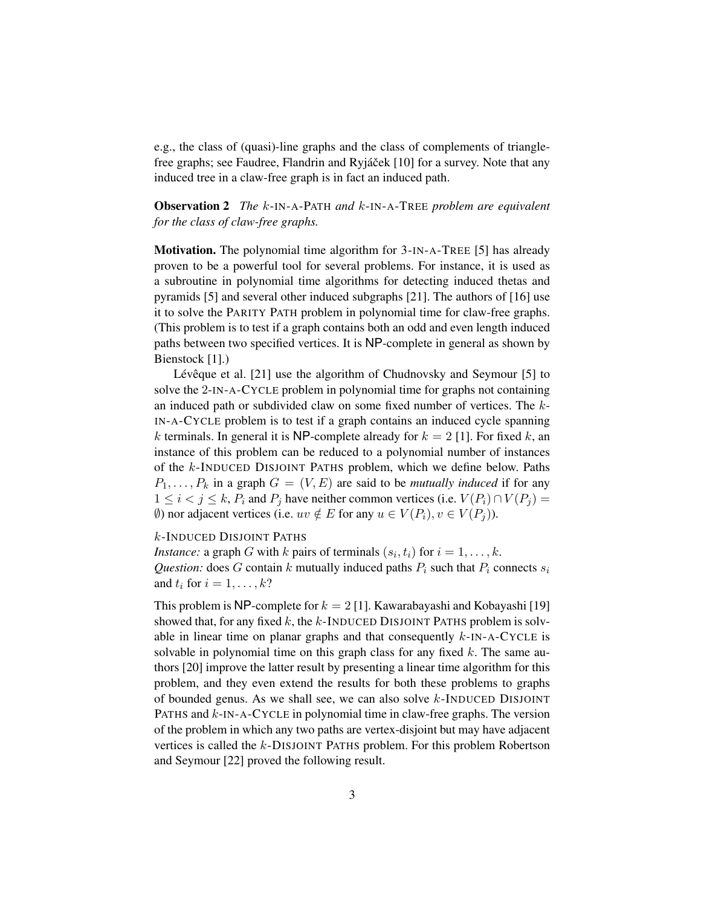e.g., the class of (quasi)-line graphs and the class of complements of trianglefree graphs; see Faudree, Flandrin and Ryjáček [10] for a survey. Note that any induced tree in a claw-free graph is in fact an induced path.

Observation 2 *The* k-IN-A-PATH *and* k-IN-A-TREE *problem are equivalent for the class of claw-free graphs.*

Motivation. The polynomial time algorithm for 3-IN-A-TREE [5] has already proven to be a powerful tool for several problems. For instance, it is used as a subroutine in polynomial time algorithms for detecting induced thetas and pyramids [5] and several other induced subgraphs [21]. The authors of [16] use it to solve the PARITY PATH problem in polynomial time for claw-free graphs. (This problem is to test if a graph contains both an odd and even length induced paths between two specified vertices. It is NP-complete in general as shown by Bienstock [1].)

Lévêque et al.  $[21]$  use the algorithm of Chudnovsky and Seymour  $[5]$  to solve the 2-IN-A-CYCLE problem in polynomial time for graphs not containing an induced path or subdivided claw on some fixed number of vertices. The k-IN-A-CYCLE problem is to test if a graph contains an induced cycle spanning k terminals. In general it is NP-complete already for  $k = 2$  [1]. For fixed k, an instance of this problem can be reduced to a polynomial number of instances of the k-INDUCED DISJOINT PATHS problem, which we define below. Paths  $P_1, \ldots, P_k$  in a graph  $G = (V, E)$  are said to be *mutually induced* if for any  $1 \leq i < j \leq k$ ,  $P_i$  and  $P_j$  have neither common vertices (i.e.  $V(P_i) \cap V(P_j) =$ (0) nor adjacent vertices (i.e.  $uv \notin E$  for any  $u \in V(P_i), v \in V(P_i)$ ).

k-INDUCED DISJOINT PATHS

*Instance:* a graph *G* with *k* pairs of terminals  $(s_i, t_i)$  for  $i = 1, \ldots, k$ . *Question:* does  $G$  contain  $k$  mutually induced paths  $P_i$  such that  $P_i$  connects  $s_i$ and  $t_i$  for  $i = 1, \ldots, k$ ?

This problem is NP-complete for  $k = 2$  [1]. Kawarabayashi and Kobayashi [19] showed that, for any fixed k, the k-INDUCED DISJOINT PATHS problem is solvable in linear time on planar graphs and that consequently  $k$ -IN-A-CYCLE is solvable in polynomial time on this graph class for any fixed  $k$ . The same authors [20] improve the latter result by presenting a linear time algorithm for this problem, and they even extend the results for both these problems to graphs of bounded genus. As we shall see, we can also solve  $k$ -INDUCED DISJOINT PATHS and  $k$ -IN-A-CYCLE in polynomial time in claw-free graphs. The version of the problem in which any two paths are vertex-disjoint but may have adjacent vertices is called the k-DISJOINT PATHS problem. For this problem Robertson and Seymour [22] proved the following result.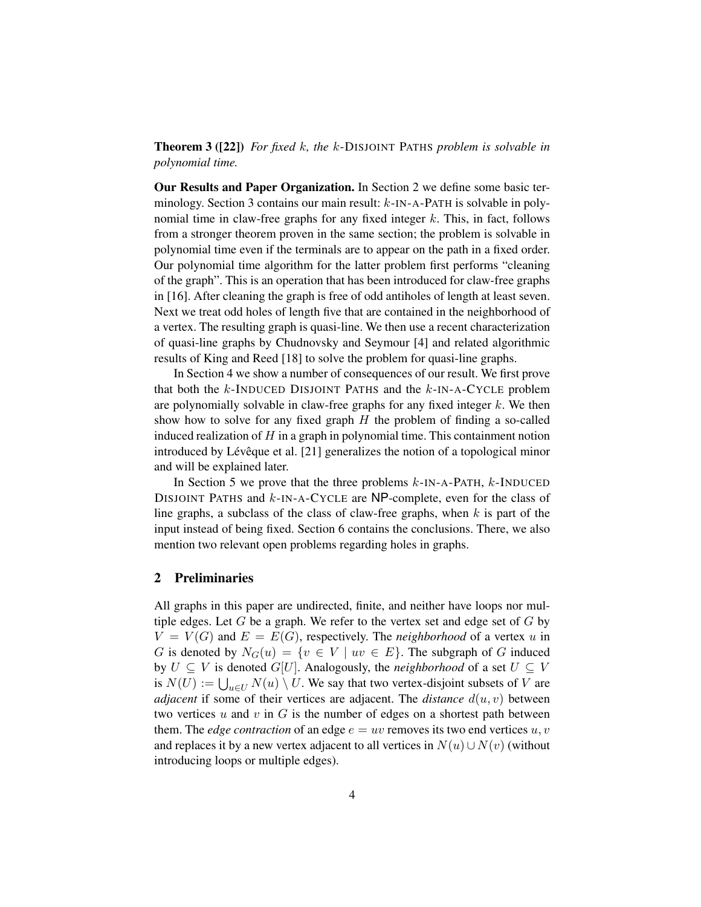### Theorem 3 ([22]) *For fixed* k*, the* k-DISJOINT PATHS *problem is solvable in polynomial time.*

Our Results and Paper Organization. In Section 2 we define some basic terminology. Section 3 contains our main result: k-IN-A-PATH is solvable in polynomial time in claw-free graphs for any fixed integer  $k$ . This, in fact, follows from a stronger theorem proven in the same section; the problem is solvable in polynomial time even if the terminals are to appear on the path in a fixed order. Our polynomial time algorithm for the latter problem first performs "cleaning of the graph". This is an operation that has been introduced for claw-free graphs in [16]. After cleaning the graph is free of odd antiholes of length at least seven. Next we treat odd holes of length five that are contained in the neighborhood of a vertex. The resulting graph is quasi-line. We then use a recent characterization of quasi-line graphs by Chudnovsky and Seymour [4] and related algorithmic results of King and Reed [18] to solve the problem for quasi-line graphs.

In Section 4 we show a number of consequences of our result. We first prove that both the  $k$ -INDUCED DISJOINT PATHS and the  $k$ -IN-A-CYCLE problem are polynomially solvable in claw-free graphs for any fixed integer  $k$ . We then show how to solve for any fixed graph  $H$  the problem of finding a so-called induced realization of  $H$  in a graph in polynomial time. This containment notion introduced by Lévêque et al.  $[21]$  generalizes the notion of a topological minor and will be explained later.

In Section 5 we prove that the three problems  $k$ -IN-A-PATH,  $k$ -INDUCED DISJOINT PATHS and  $k$ -IN-A-CYCLE are NP-complete, even for the class of line graphs, a subclass of the class of claw-free graphs, when  $k$  is part of the input instead of being fixed. Section 6 contains the conclusions. There, we also mention two relevant open problems regarding holes in graphs.

# 2 Preliminaries

All graphs in this paper are undirected, finite, and neither have loops nor multiple edges. Let  $G$  be a graph. We refer to the vertex set and edge set of  $G$  by  $V = V(G)$  and  $E = E(G)$ , respectively. The *neighborhood* of a vertex u in G is denoted by  $N_G(u) = \{v \in V \mid uv \in E\}$ . The subgraph of G induced by  $U \subseteq V$  is denoted  $G[U]$ . Analogously, the *neighborhood* of a set  $U \subseteq V$ is  $N(U) := \bigcup_{u \in U} N(u) \setminus U$ . We say that two vertex-disjoint subsets of V are *adjacent* if some of their vertices are adjacent. The *distance*  $d(u, v)$  between two vertices  $u$  and  $v$  in  $G$  is the number of edges on a shortest path between them. The *edge contraction* of an edge  $e = uv$  removes its two end vertices  $u, v$ and replaces it by a new vertex adjacent to all vertices in  $N(u) \cup N(v)$  (without introducing loops or multiple edges).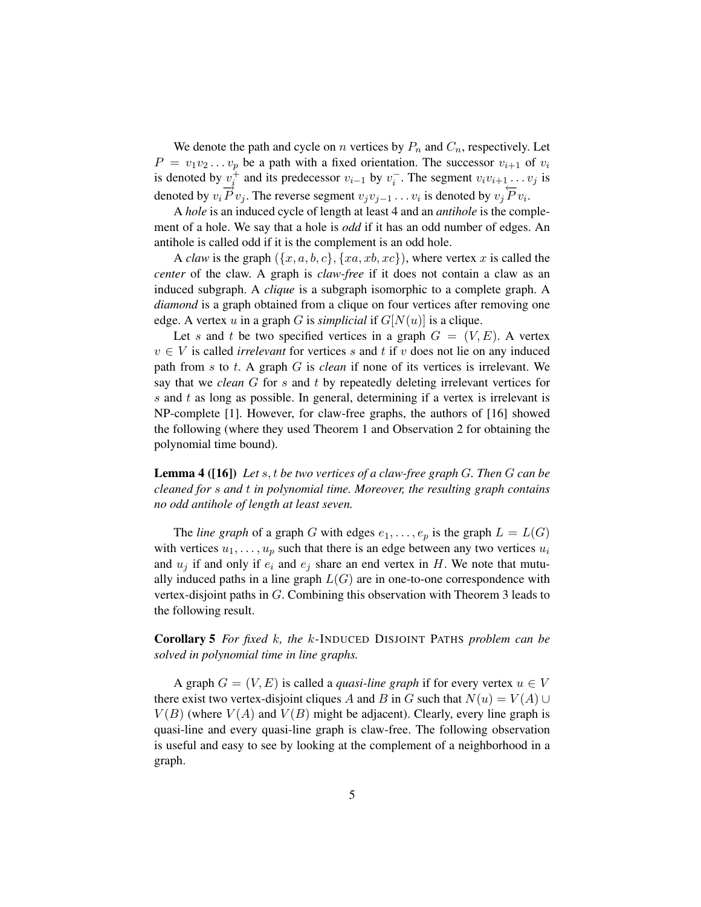We denote the path and cycle on n vertices by  $P_n$  and  $C_n$ , respectively. Let  $P = v_1v_2 \ldots v_p$  be a path with a fixed orientation. The successor  $v_{i+1}$  of  $v_i$ is denoted by  $v_i^{\dagger}$  and its predecessor  $v_{i-1}$  by  $v_i^-$ . The segment  $v_i v_{i+1} \ldots v_j$  is denoted by  $v_i \overrightarrow{P} v_j$ . The reverse segment  $v_j v_{j-1} \dots v_i$  is denoted by  $v_j \overleftarrow{P} v_i$ .

A *hole* is an induced cycle of length at least 4 and an *antihole* is the complement of a hole. We say that a hole is *odd* if it has an odd number of edges. An antihole is called odd if it is the complement is an odd hole.

A *claw* is the graph  $({x, a, b, c}, {xa, xb, xc})$ , where vertex x is called the *center* of the claw. A graph is *claw-free* if it does not contain a claw as an induced subgraph. A *clique* is a subgraph isomorphic to a complete graph. A *diamond* is a graph obtained from a clique on four vertices after removing one edge. A vertex u in a graph G is *simplicial* if  $G[N(u)]$  is a clique.

Let s and t be two specified vertices in a graph  $G = (V, E)$ . A vertex  $v \in V$  is called *irrelevant* for vertices s and t if v does not lie on any induced path from s to t. A graph G is *clean* if none of its vertices is irrelevant. We say that we *clean* G for s and t by repeatedly deleting irrelevant vertices for s and t as long as possible. In general, determining if a vertex is irrelevant is NP-complete [1]. However, for claw-free graphs, the authors of [16] showed the following (where they used Theorem 1 and Observation 2 for obtaining the polynomial time bound).

Lemma 4 ([16]) *Let* s, t *be two vertices of a claw-free graph* G*. Then* G *can be cleaned for* s *and* t *in polynomial time. Moreover, the resulting graph contains no odd antihole of length at least seven.*

The *line graph* of a graph G with edges  $e_1, \ldots, e_p$  is the graph  $L = L(G)$ with vertices  $u_1, \ldots, u_p$  such that there is an edge between any two vertices  $u_i$ and  $u_j$  if and only if  $e_i$  and  $e_j$  share an end vertex in H. We note that mutually induced paths in a line graph  $L(G)$  are in one-to-one correspondence with vertex-disjoint paths in G. Combining this observation with Theorem 3 leads to the following result.

Corollary 5 *For fixed* k*, the* k-INDUCED DISJOINT PATHS *problem can be solved in polynomial time in line graphs.*

A graph  $G = (V, E)$  is called a *quasi-line graph* if for every vertex  $u \in V$ there exist two vertex-disjoint cliques A and B in G such that  $N(u) = V(A) \cup$  $V(B)$  (where  $V(A)$  and  $V(B)$  might be adjacent). Clearly, every line graph is quasi-line and every quasi-line graph is claw-free. The following observation is useful and easy to see by looking at the complement of a neighborhood in a graph.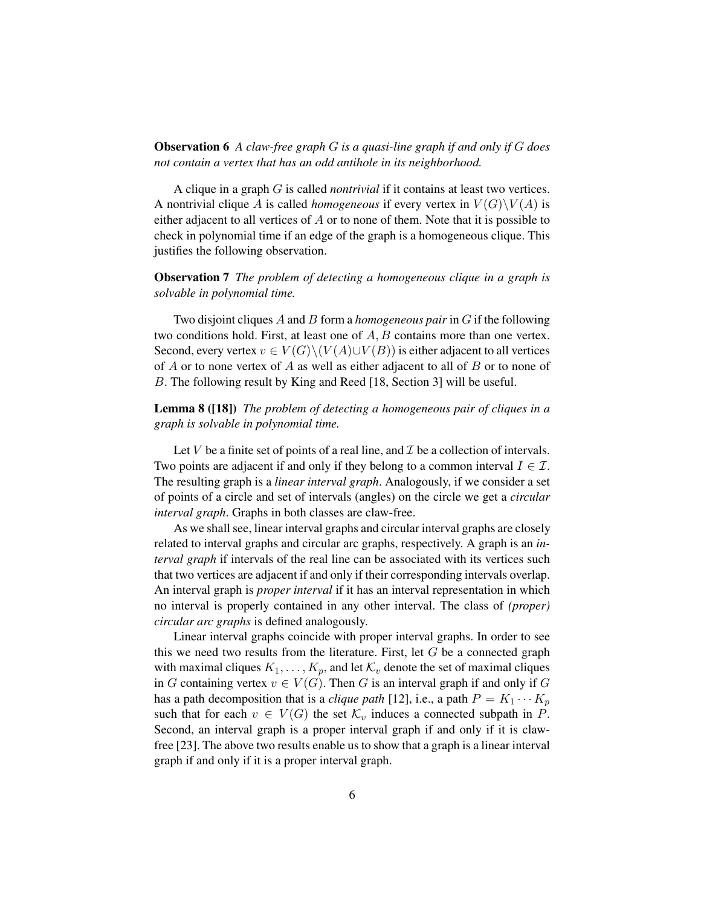# Observation 6 *A claw-free graph* G *is a quasi-line graph if and only if* G *does not contain a vertex that has an odd antihole in its neighborhood.*

A clique in a graph G is called *nontrivial* if it contains at least two vertices. A nontrivial clique A is called *homogeneous* if every vertex in  $V(G)\backslash V(A)$  is either adjacent to all vertices of A or to none of them. Note that it is possible to check in polynomial time if an edge of the graph is a homogeneous clique. This justifies the following observation.

Observation 7 *The problem of detecting a homogeneous clique in a graph is solvable in polynomial time.*

Two disjoint cliques A and B form a *homogeneous pair* in G if the following two conditions hold. First, at least one of A, B contains more than one vertex. Second, every vertex  $v \in V(G) \setminus (V(A) \cup V(B))$  is either adjacent to all vertices of  $A$  or to none vertex of  $A$  as well as either adjacent to all of  $B$  or to none of B. The following result by King and Reed [18, Section 3] will be useful.

Lemma 8 ([18]) *The problem of detecting a homogeneous pair of cliques in a graph is solvable in polynomial time.*

Let V be a finite set of points of a real line, and  $\mathcal I$  be a collection of intervals. Two points are adjacent if and only if they belong to a common interval  $I \in \mathcal{I}$ . The resulting graph is a *linear interval graph*. Analogously, if we consider a set of points of a circle and set of intervals (angles) on the circle we get a *circular interval graph*. Graphs in both classes are claw-free.

As we shall see, linear interval graphs and circular interval graphs are closely related to interval graphs and circular arc graphs, respectively. A graph is an *interval graph* if intervals of the real line can be associated with its vertices such that two vertices are adjacent if and only if their corresponding intervals overlap. An interval graph is *proper interval* if it has an interval representation in which no interval is properly contained in any other interval. The class of *(proper) circular arc graphs* is defined analogously.

Linear interval graphs coincide with proper interval graphs. In order to see this we need two results from the literature. First, let  $G$  be a connected graph with maximal cliques  $K_1, \ldots, K_p$ , and let  $\mathcal{K}_v$  denote the set of maximal cliques in G containing vertex  $v \in V(G)$ . Then G is an interval graph if and only if G has a path decomposition that is a *clique path* [12], i.e., a path  $P = K_1 \cdots K_p$ such that for each  $v \in V(G)$  the set  $\mathcal{K}_v$  induces a connected subpath in P. Second, an interval graph is a proper interval graph if and only if it is clawfree [23]. The above two results enable us to show that a graph is a linear interval graph if and only if it is a proper interval graph.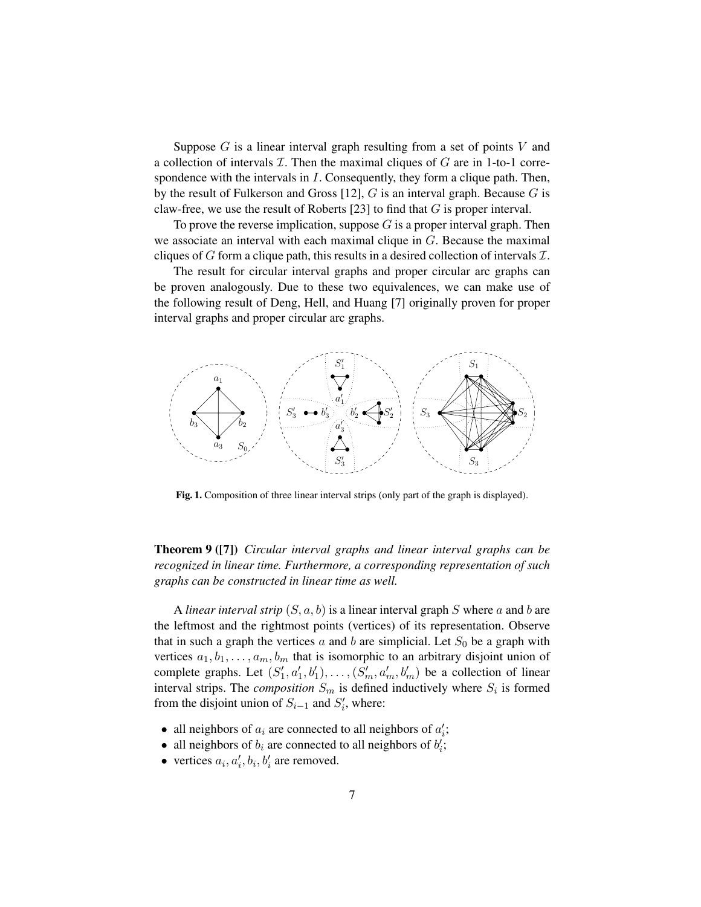Suppose  $G$  is a linear interval graph resulting from a set of points  $V$  and a collection of intervals  $\mathcal I$ . Then the maximal cliques of  $G$  are in 1-to-1 correspondence with the intervals in  $I$ . Consequently, they form a clique path. Then, by the result of Fulkerson and Gross [12],  $G$  is an interval graph. Because  $G$  is claw-free, we use the result of Roberts [23] to find that G is proper interval.

To prove the reverse implication, suppose  $G$  is a proper interval graph. Then we associate an interval with each maximal clique in G. Because the maximal cliques of G form a clique path, this results in a desired collection of intervals  $\mathcal{I}$ .

The result for circular interval graphs and proper circular arc graphs can be proven analogously. Due to these two equivalences, we can make use of the following result of Deng, Hell, and Huang [7] originally proven for proper interval graphs and proper circular arc graphs.



Fig. 1. Composition of three linear interval strips (only part of the graph is displayed).

Theorem 9 ([7]) *Circular interval graphs and linear interval graphs can be recognized in linear time. Furthermore, a corresponding representation of such graphs can be constructed in linear time as well.*

A *linear interval strip*  $(S, a, b)$  is a linear interval graph S where a and b are the leftmost and the rightmost points (vertices) of its representation. Observe that in such a graph the vertices  $a$  and  $b$  are simplicial. Let  $S_0$  be a graph with vertices  $a_1, b_1, \ldots, a_m, b_m$  that is isomorphic to an arbitrary disjoint union of complete graphs. Let  $(S'_1, a'_1, b'_1), \ldots, (S'_m, a'_m, b'_m)$  be a collection of linear interval strips. The *composition*  $S_m$  is defined inductively where  $S_i$  is formed from the disjoint union of  $S_{i-1}$  and  $S'_{i}$ , where:

- all neighbors of  $a_i$  are connected to all neighbors of  $a'_i$ ;
- all neighbors of  $b_i$  are connected to all neighbors of  $b'_i$ ;
- vertices  $a_i, a'_i, b_i, b'_i$  are removed.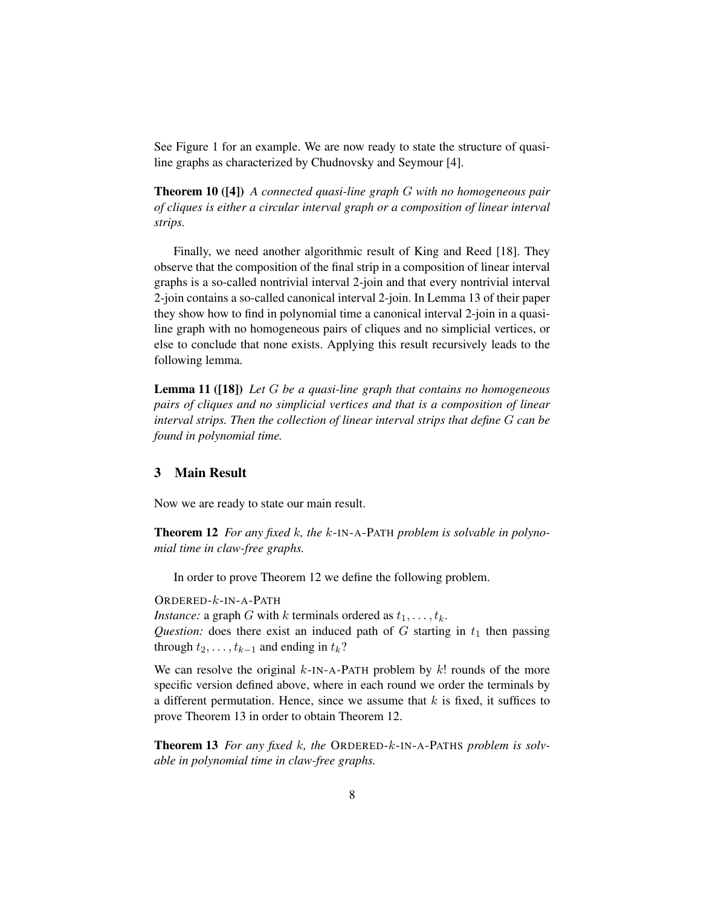See Figure 1 for an example. We are now ready to state the structure of quasiline graphs as characterized by Chudnovsky and Seymour [4].

Theorem 10 ([4]) *A connected quasi-line graph* G *with no homogeneous pair of cliques is either a circular interval graph or a composition of linear interval strips.*

Finally, we need another algorithmic result of King and Reed [18]. They observe that the composition of the final strip in a composition of linear interval graphs is a so-called nontrivial interval 2-join and that every nontrivial interval 2-join contains a so-called canonical interval 2-join. In Lemma 13 of their paper they show how to find in polynomial time a canonical interval 2-join in a quasiline graph with no homogeneous pairs of cliques and no simplicial vertices, or else to conclude that none exists. Applying this result recursively leads to the following lemma.

Lemma 11 ([18]) *Let* G *be a quasi-line graph that contains no homogeneous pairs of cliques and no simplicial vertices and that is a composition of linear interval strips. Then the collection of linear interval strips that define* G *can be found in polynomial time.*

## 3 Main Result

Now we are ready to state our main result.

Theorem 12 *For any fixed* k*, the* k-IN-A-PATH *problem is solvable in polynomial time in claw-free graphs.*

In order to prove Theorem 12 we define the following problem.

ORDERED-k-IN-A-PATH

*Instance:* a graph G with k terminals ordered as  $t_1, \ldots, t_k$ .

*Question:* does there exist an induced path of  $G$  starting in  $t_1$  then passing through  $t_2, \ldots, t_{k-1}$  and ending in  $t_k$ ?

We can resolve the original  $k$ -IN-A-PATH problem by  $k!$  rounds of the more specific version defined above, where in each round we order the terminals by a different permutation. Hence, since we assume that  $k$  is fixed, it suffices to prove Theorem 13 in order to obtain Theorem 12.

Theorem 13 *For any fixed* k*, the* ORDERED-k-IN-A-PATHS *problem is solvable in polynomial time in claw-free graphs.*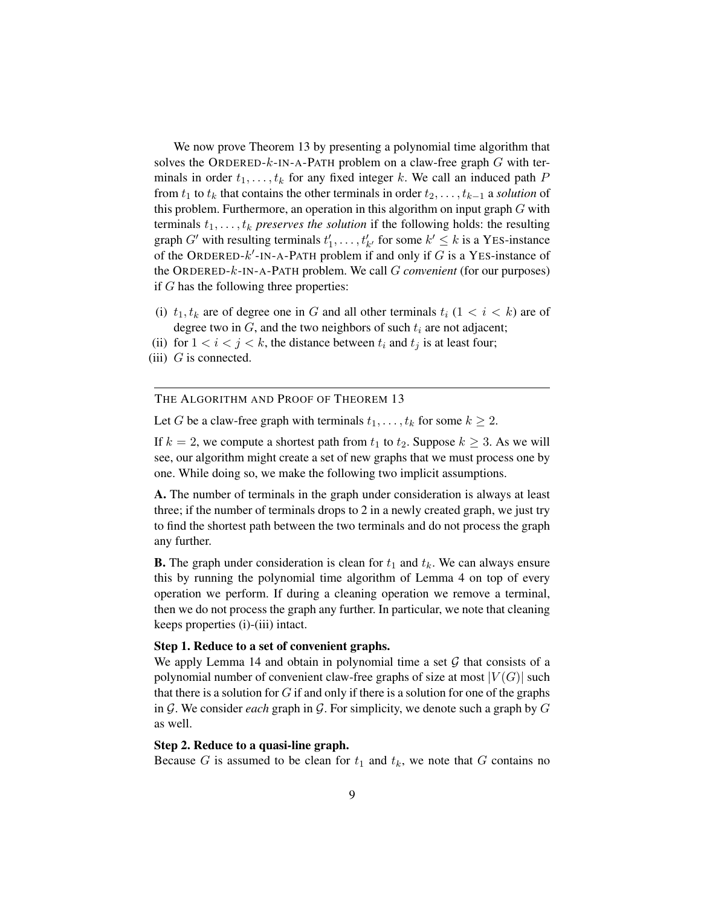We now prove Theorem 13 by presenting a polynomial time algorithm that solves the ORDERED- $k$ -IN-A-PATH problem on a claw-free graph  $G$  with terminals in order  $t_1, \ldots, t_k$  for any fixed integer k. We call an induced path P from  $t_1$  to  $t_k$  that contains the other terminals in order  $t_2, \ldots, t_{k-1}$  a *solution* of this problem. Furthermore, an operation in this algorithm on input graph  $G$  with terminals  $t_1, \ldots, t_k$  *preserves the solution* if the following holds: the resulting graph G' with resulting terminals  $t'_1, \ldots, t'_{k'}$  for some  $k' \leq k$  is a YES-instance of the ORDERED- $k'$ -IN-A-PATH problem if and only if G is a YES-instance of the ORDERED-k-IN-A-PATH problem. We call G *convenient* (for our purposes) if G has the following three properties:

- (i)  $t_1, t_k$  are of degree one in G and all other terminals  $t_i$  ( $1 < i < k$ ) are of degree two in  $G$ , and the two neighbors of such  $t_i$  are not adjacent;
- (ii) for  $1 < i < j < k$ , the distance between  $t_i$  and  $t_j$  is at least four;
- (iii)  $G$  is connected.

THE ALGORITHM AND PROOF OF THEOREM 13

Let G be a claw-free graph with terminals  $t_1, \ldots, t_k$  for some  $k \geq 2$ .

If  $k = 2$ , we compute a shortest path from  $t_1$  to  $t_2$ . Suppose  $k \geq 3$ . As we will see, our algorithm might create a set of new graphs that we must process one by one. While doing so, we make the following two implicit assumptions.

A. The number of terminals in the graph under consideration is always at least three; if the number of terminals drops to 2 in a newly created graph, we just try to find the shortest path between the two terminals and do not process the graph any further.

**B.** The graph under consideration is clean for  $t_1$  and  $t_k$ . We can always ensure this by running the polynomial time algorithm of Lemma 4 on top of every operation we perform. If during a cleaning operation we remove a terminal, then we do not process the graph any further. In particular, we note that cleaning keeps properties (i)-(iii) intact.

### Step 1. Reduce to a set of convenient graphs.

We apply Lemma 14 and obtain in polynomial time a set  $G$  that consists of a polynomial number of convenient claw-free graphs of size at most  $|V(G)|$  such that there is a solution for  $G$  if and only if there is a solution for one of the graphs in G. We consider *each* graph in G. For simplicity, we denote such a graph by G as well.

## Step 2. Reduce to a quasi-line graph.

Because G is assumed to be clean for  $t_1$  and  $t_k$ , we note that G contains no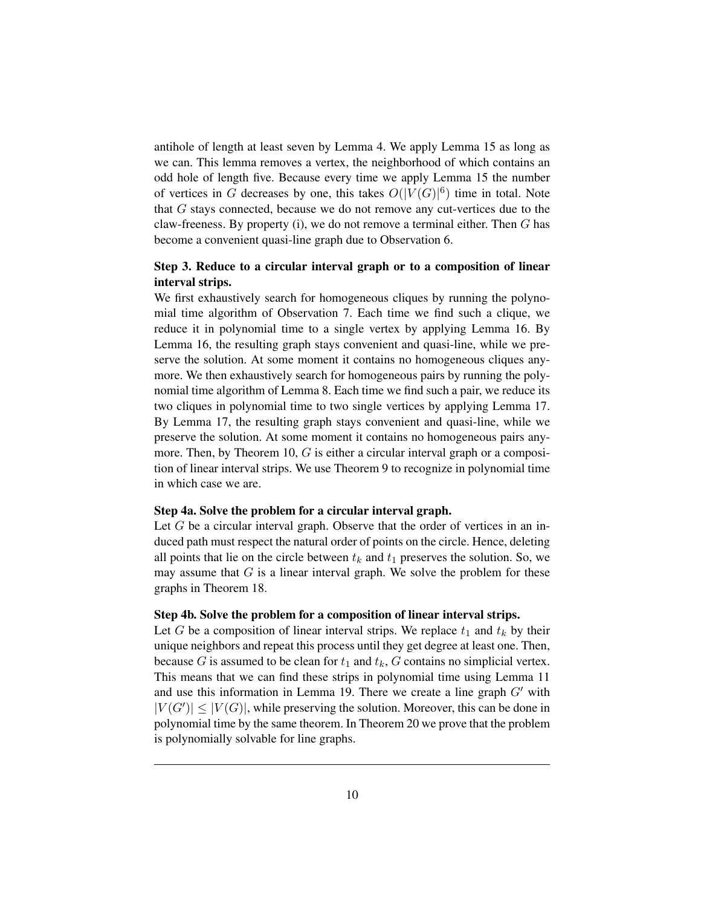antihole of length at least seven by Lemma 4. We apply Lemma 15 as long as we can. This lemma removes a vertex, the neighborhood of which contains an odd hole of length five. Because every time we apply Lemma 15 the number of vertices in G decreases by one, this takes  $O(|V(G)|^6)$  time in total. Note that G stays connected, because we do not remove any cut-vertices due to the claw-freeness. By property (i), we do not remove a terminal either. Then  $G$  has become a convenient quasi-line graph due to Observation 6.

# Step 3. Reduce to a circular interval graph or to a composition of linear interval strips.

We first exhaustively search for homogeneous cliques by running the polynomial time algorithm of Observation 7. Each time we find such a clique, we reduce it in polynomial time to a single vertex by applying Lemma 16. By Lemma 16, the resulting graph stays convenient and quasi-line, while we preserve the solution. At some moment it contains no homogeneous cliques anymore. We then exhaustively search for homogeneous pairs by running the polynomial time algorithm of Lemma 8. Each time we find such a pair, we reduce its two cliques in polynomial time to two single vertices by applying Lemma 17. By Lemma 17, the resulting graph stays convenient and quasi-line, while we preserve the solution. At some moment it contains no homogeneous pairs anymore. Then, by Theorem 10, G is either a circular interval graph or a composition of linear interval strips. We use Theorem 9 to recognize in polynomial time in which case we are.

### Step 4a. Solve the problem for a circular interval graph.

Let  $G$  be a circular interval graph. Observe that the order of vertices in an induced path must respect the natural order of points on the circle. Hence, deleting all points that lie on the circle between  $t_k$  and  $t_1$  preserves the solution. So, we may assume that  $G$  is a linear interval graph. We solve the problem for these graphs in Theorem 18.

#### Step 4b. Solve the problem for a composition of linear interval strips.

Let G be a composition of linear interval strips. We replace  $t_1$  and  $t_k$  by their unique neighbors and repeat this process until they get degree at least one. Then, because G is assumed to be clean for  $t_1$  and  $t_k$ , G contains no simplicial vertex. This means that we can find these strips in polynomial time using Lemma 11 and use this information in Lemma 19. There we create a line graph  $G'$  with  $|V(G')| \leq |V(G)|$ , while preserving the solution. Moreover, this can be done in polynomial time by the same theorem. In Theorem 20 we prove that the problem is polynomially solvable for line graphs.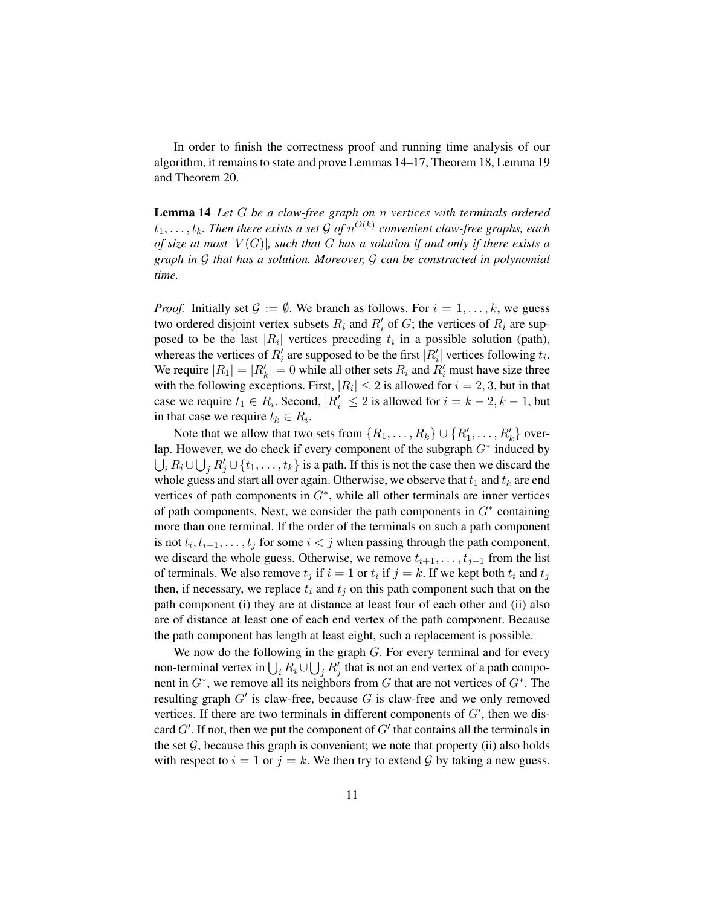In order to finish the correctness proof and running time analysis of our algorithm, it remains to state and prove Lemmas 14–17, Theorem 18, Lemma 19 and Theorem 20.

Lemma 14 *Let* G *be a claw-free graph on* n *vertices with terminals ordered*  $t_1,\ldots,t_k$ . Then there exists a set  ${\cal G}$  of  $n^{O(k)}$  convenient claw-free graphs, each *of size at most* |V (G)|*, such that* G *has a solution if and only if there exists a graph in* G *that has a solution. Moreover,* G *can be constructed in polynomial time.*

*Proof.* Initially set  $\mathcal{G} := \emptyset$ . We branch as follows. For  $i = 1, \ldots, k$ , we guess two ordered disjoint vertex subsets  $R_i$  and  $R'_i$  of  $G$ ; the vertices of  $R_i$  are supposed to be the last  $|R_i|$  vertices preceding  $t_i$  in a possible solution (path), whereas the vertices of  $R'_i$  are supposed to be the first  $|R'_i|$  vertices following  $t_i$ . We require  $|R_1| = |R'_k| = 0$  while all other sets  $R_i$  and  $R'_i$  must have size three with the following exceptions. First,  $|R_i| \leq 2$  is allowed for  $i = 2, 3$ , but in that case we require  $t_1 \in R_i$ . Second,  $|R'_i| \leq 2$  is allowed for  $i = k - 2, k - 1$ , but in that case we require  $t_k \in R_i$ .

Note that we allow that two sets from  $\{R_1, \ldots, R_k\} \cup \{R'_1, \ldots, R'_k\}$  overlap. However, we do check if every component of the subgraph  $G^*$  induced by  $\bigcup_i R_i \cup \bigcup_j R'_j \cup \{t_1, \ldots, t_k\}$  is a path. If this is not the case then we discard the whole guess and start all over again. Otherwise, we observe that  $t_1$  and  $t_k$  are end vertices of path components in  $G^*$ , while all other terminals are inner vertices of path components. Next, we consider the path components in  $G^*$  containing more than one terminal. If the order of the terminals on such a path component is not  $t_i, t_{i+1}, \ldots, t_j$  for some  $i < j$  when passing through the path component, we discard the whole guess. Otherwise, we remove  $t_{i+1}, \ldots, t_{j-1}$  from the list of terminals. We also remove  $t_j$  if  $i = 1$  or  $t_i$  if  $j = k$ . If we kept both  $t_i$  and  $t_j$ then, if necessary, we replace  $t_i$  and  $t_j$  on this path component such that on the path component (i) they are at distance at least four of each other and (ii) also are of distance at least one of each end vertex of the path component. Because the path component has length at least eight, such a replacement is possible.

We now do the following in the graph  $G$ . For every terminal and for every non-terminal vertex in  $\bigcup_i R_i \cup \bigcup_j R'_j$  that is not an end vertex of a path component in  $G^*$ , we remove all its neighbors from G that are not vertices of  $G^*$ . The resulting graph  $G'$  is claw-free, because G is claw-free and we only removed vertices. If there are two terminals in different components of  $G'$ , then we discard  $G'$ . If not, then we put the component of  $G'$  that contains all the terminals in the set  $G$ , because this graph is convenient; we note that property (ii) also holds with respect to  $i = 1$  or  $j = k$ . We then try to extend G by taking a new guess.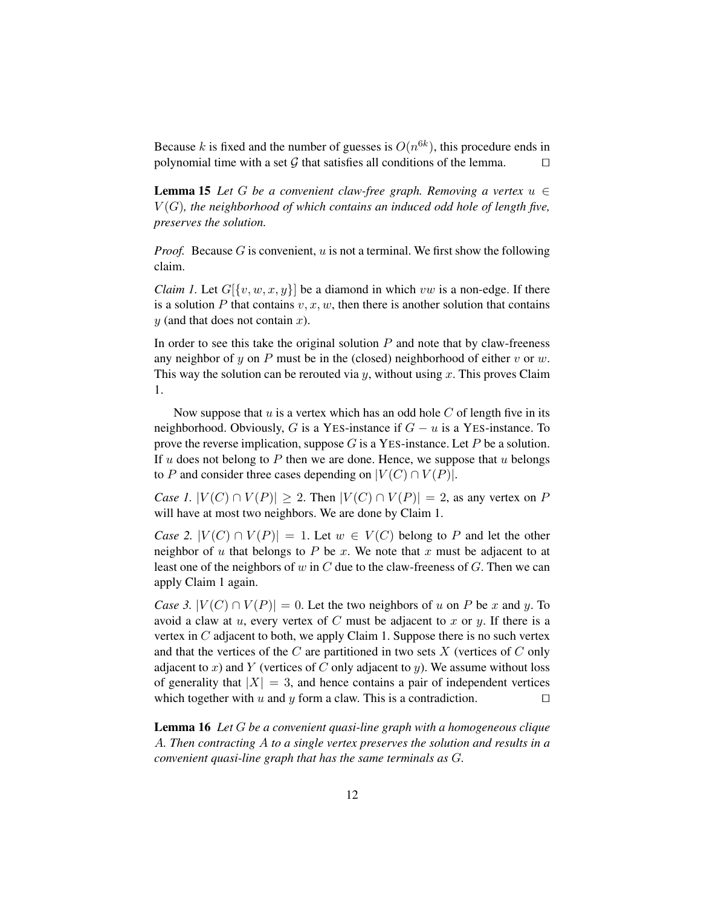Because k is fixed and the number of guesses is  $O(n^{6k})$ , this procedure ends in polynomial time with a set G that satisfies all conditions of the lemma.  $\Box$ 

**Lemma 15** Let G be a convenient claw-free graph. Removing a vertex  $u \in$ V (G)*, the neighborhood of which contains an induced odd hole of length five, preserves the solution.*

*Proof.* Because G is convenient, u is not a terminal. We first show the following claim.

*Claim 1.* Let  $G[\{v, w, x, y\}]$  be a diamond in which vw is a non-edge. If there is a solution P that contains  $v, x, w$ , then there is another solution that contains  $y$  (and that does not contain  $x$ ).

In order to see this take the original solution  $P$  and note that by claw-freeness any neighbor of y on P must be in the (closed) neighborhood of either v or w. This way the solution can be rerouted via  $y$ , without using x. This proves Claim 1.

Now suppose that  $u$  is a vertex which has an odd hole  $C$  of length five in its neighborhood. Obviously, G is a YES-instance if  $G - u$  is a YES-instance. To prove the reverse implication, suppose  $G$  is a YES-instance. Let  $P$  be a solution. If u does not belong to P then we are done. Hence, we suppose that u belongs to P and consider three cases depending on  $|V(C) \cap V(P)|$ .

*Case 1.*  $|V(C) \cap V(P)| \ge 2$ . Then  $|V(C) \cap V(P)| = 2$ , as any vertex on P will have at most two neighbors. We are done by Claim 1.

*Case 2.*  $|V(C) \cap V(P)| = 1$ . Let  $w \in V(C)$  belong to P and let the other neighbor of u that belongs to P be x. We note that x must be adjacent to at least one of the neighbors of  $w$  in  $C$  due to the claw-freeness of  $G$ . Then we can apply Claim 1 again.

*Case 3.*  $|V(C) \cap V(P)| = 0$ . Let the two neighbors of u on P be x and y. To avoid a claw at  $u$ , every vertex of C must be adjacent to x or  $y$ . If there is a vertex in  $C$  adjacent to both, we apply Claim 1. Suppose there is no such vertex and that the vertices of the  $C$  are partitioned in two sets  $X$  (vertices of  $C$  only adjacent to x) and Y (vertices of C only adjacent to y). We assume without loss of generality that  $|X| = 3$ , and hence contains a pair of independent vertices which together with u and y form a claw. This is a contradiction.  $\Box$ 

Lemma 16 *Let* G *be a convenient quasi-line graph with a homogeneous clique* A*. Then contracting* A *to a single vertex preserves the solution and results in a convenient quasi-line graph that has the same terminals as* G*.*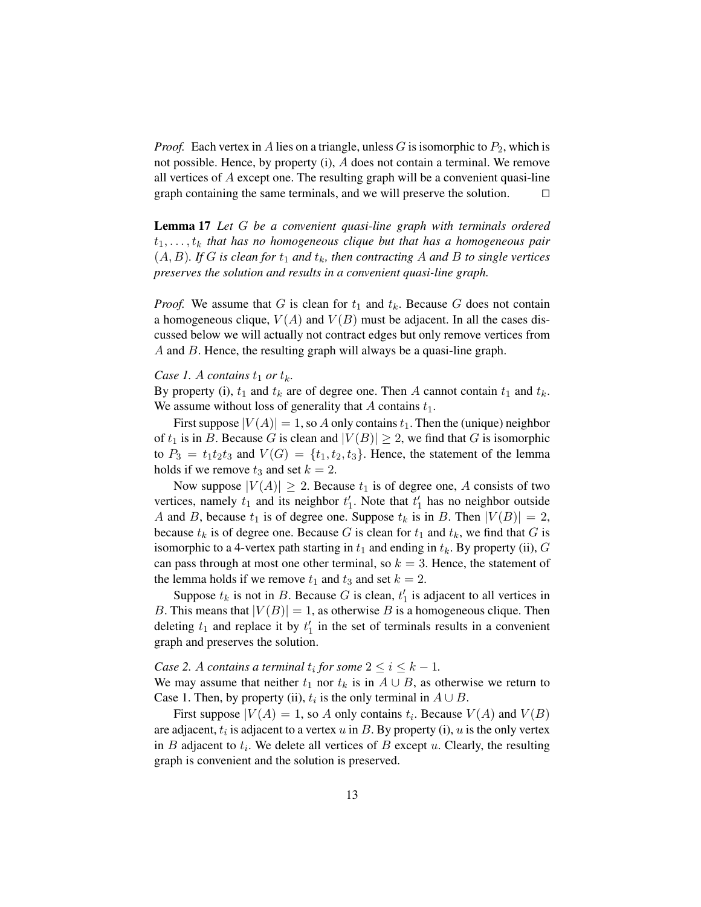*Proof.* Each vertex in A lies on a triangle, unless G is isomorphic to  $P_2$ , which is not possible. Hence, by property (i), A does not contain a terminal. We remove all vertices of A except one. The resulting graph will be a convenient quasi-line graph containing the same terminals, and we will preserve the solution.  $\Box$ 

Lemma 17 *Let* G *be a convenient quasi-line graph with terminals ordered*  $t_1, \ldots, t_k$  that has no homogeneous clique but that has a homogeneous pair  $(A, B)$ *. If* G *is clean for*  $t_1$  *and*  $t_k$ *, then contracting* A *and* B *to single vertices preserves the solution and results in a convenient quasi-line graph.*

*Proof.* We assume that G is clean for  $t_1$  and  $t_k$ . Because G does not contain a homogeneous clique,  $V(A)$  and  $V(B)$  must be adjacent. In all the cases discussed below we will actually not contract edges but only remove vertices from A and B. Hence, the resulting graph will always be a quasi-line graph.

#### *Case 1. A contains*  $t_1$  *or*  $t_k$ *.*

By property (i),  $t_1$  and  $t_k$  are of degree one. Then A cannot contain  $t_1$  and  $t_k$ . We assume without loss of generality that  $A$  contains  $t_1$ .

First suppose  $|V(A)| = 1$ , so A only contains  $t_1$ . Then the (unique) neighbor of  $t_1$  is in B. Because G is clean and  $|V(B)| \geq 2$ , we find that G is isomorphic to  $P_3 = t_1t_2t_3$  and  $V(G) = \{t_1, t_2, t_3\}$ . Hence, the statement of the lemma holds if we remove  $t_3$  and set  $k = 2$ .

Now suppose  $|V(A)| \ge 2$ . Because  $t_1$  is of degree one, A consists of two vertices, namely  $t_1$  and its neighbor  $t'_1$ . Note that  $t'_1$  has no neighbor outside A and B, because  $t_1$  is of degree one. Suppose  $t_k$  is in B. Then  $|V(B)| = 2$ , because  $t_k$  is of degree one. Because G is clean for  $t_1$  and  $t_k$ , we find that G is isomorphic to a 4-vertex path starting in  $t_1$  and ending in  $t_k$ . By property (ii), G can pass through at most one other terminal, so  $k = 3$ . Hence, the statement of the lemma holds if we remove  $t_1$  and  $t_3$  and set  $k = 2$ .

Suppose  $t_k$  is not in B. Because G is clean,  $t'_1$  is adjacent to all vertices in B. This means that  $|V(B)| = 1$ , as otherwise B is a homogeneous clique. Then deleting  $t_1$  and replace it by  $t_1$  in the set of terminals results in a convenient graph and preserves the solution.

*Case 2. A contains a terminal*  $t_i$  *for some*  $2 \leq i \leq k - 1$ *.* We may assume that neither  $t_1$  nor  $t_k$  is in  $A \cup B$ , as otherwise we return to Case 1. Then, by property (ii),  $t_i$  is the only terminal in  $A \cup B$ .

First suppose  $|V(A) = 1$ , so A only contains  $t_i$ . Because  $V(A)$  and  $V(B)$ are adjacent,  $t_i$  is adjacent to a vertex  $u$  in  $B$ . By property (i),  $u$  is the only vertex in  $B$  adjacent to  $t_i$ . We delete all vertices of  $B$  except  $u$ . Clearly, the resulting graph is convenient and the solution is preserved.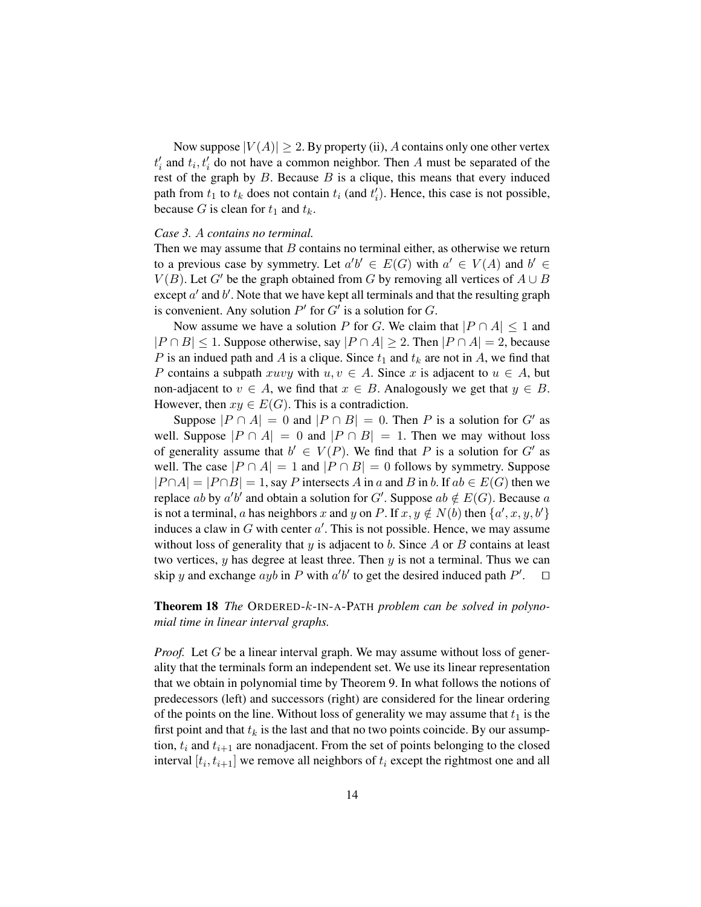Now suppose  $|V(A)| \geq 2$ . By property (ii), A contains only one other vertex  $t'_{i}$  and  $t_{i}$ ,  $t'_{i}$  do not have a common neighbor. Then A must be separated of the rest of the graph by  $B$ . Because  $B$  is a clique, this means that every induced path from  $t_1$  to  $t_k$  does not contain  $t_i$  (and  $t'_i$ ). Hence, this case is not possible, because G is clean for  $t_1$  and  $t_k$ .

### *Case 3.* A *contains no terminal.*

Then we may assume that  $B$  contains no terminal either, as otherwise we return to a previous case by symmetry. Let  $a'b' \in E(G)$  with  $a' \in V(A)$  and  $b' \in$  $V(B)$ . Let G' be the graph obtained from G by removing all vertices of  $A \cup B$ except  $a'$  and  $b'$ . Note that we have kept all terminals and that the resulting graph is convenient. Any solution  $P'$  for  $G'$  is a solution for  $G$ .

Now assume we have a solution P for G. We claim that  $|P \cap A| \leq 1$  and  $|P \cap B| \leq 1$ . Suppose otherwise, say  $|P \cap A| \geq 2$ . Then  $|P \cap A| = 2$ , because P is an indued path and A is a clique. Since  $t_1$  and  $t_k$  are not in A, we find that P contains a subpath xuvy with  $u, v \in A$ . Since x is adjacent to  $u \in A$ , but non-adjacent to  $v \in A$ , we find that  $x \in B$ . Analogously we get that  $y \in B$ . However, then  $xy \in E(G)$ . This is a contradiction.

Suppose  $|P \cap A| = 0$  and  $|P \cap B| = 0$ . Then P is a solution for G' as well. Suppose  $|P \cap A| = 0$  and  $|P \cap B| = 1$ . Then we may without loss of generality assume that  $b' \in V(P)$ . We find that P is a solution for G' as well. The case  $|P \cap A| = 1$  and  $|P \cap B| = 0$  follows by symmetry. Suppose  $|P \cap A| = |P \cap B| = 1$ , say P intersects A in a and B in b. If  $ab \in E(G)$  then we replace ab by  $a'b'$  and obtain a solution for G'. Suppose  $ab \notin E(G)$ . Because a is not a terminal, a has neighbors x and y on P. If  $x, y \notin N(b)$  then  $\{a', x, y, b'\}$ induces a claw in  $G$  with center  $a'$ . This is not possible. Hence, we may assume without loss of generality that  $y$  is adjacent to  $b$ . Since  $A$  or  $B$  contains at least two vertices,  $y$  has degree at least three. Then  $y$  is not a terminal. Thus we can skip y and exchange  $ayb$  in P with  $a'b'$  to get the desired induced path  $P'$ .  $\Box$ 

Theorem 18 *The* ORDERED-k-IN-A-PATH *problem can be solved in polynomial time in linear interval graphs.*

*Proof.* Let G be a linear interval graph. We may assume without loss of generality that the terminals form an independent set. We use its linear representation that we obtain in polynomial time by Theorem 9. In what follows the notions of predecessors (left) and successors (right) are considered for the linear ordering of the points on the line. Without loss of generality we may assume that  $t_1$  is the first point and that  $t_k$  is the last and that no two points coincide. By our assumption,  $t_i$  and  $t_{i+1}$  are nonadjacent. From the set of points belonging to the closed interval  $[t_i, t_{i+1}]$  we remove all neighbors of  $t_i$  except the rightmost one and all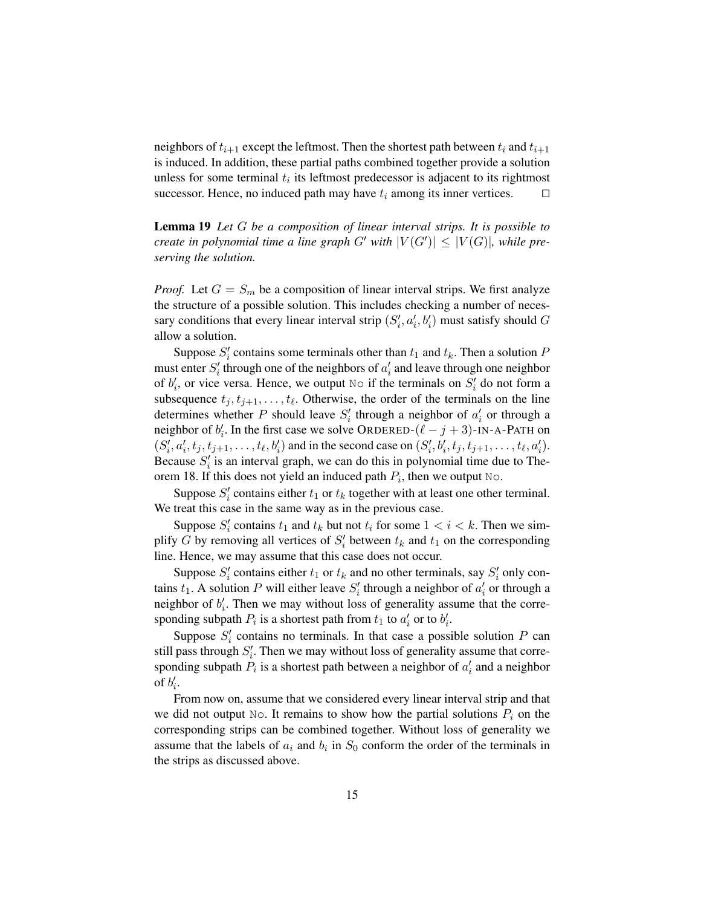neighbors of  $t_{i+1}$  except the leftmost. Then the shortest path between  $t_i$  and  $t_{i+1}$ is induced. In addition, these partial paths combined together provide a solution unless for some terminal  $t_i$  its leftmost predecessor is adjacent to its rightmost successor. Hence, no induced path may have  $t_i$  among its inner vertices.  $\square$ 

Lemma 19 *Let* G *be a composition of linear interval strips. It is possible to create in polynomial time a line graph*  $G'$  *with*  $|V(G')| \leq |V(G)|$ *, while preserving the solution.*

*Proof.* Let  $G = S_m$  be a composition of linear interval strips. We first analyze the structure of a possible solution. This includes checking a number of necessary conditions that every linear interval strip  $(S'_i, a'_i, b'_i)$  must satisfy should  $G$ allow a solution.

Suppose  $S_i'$  contains some terminals other than  $t_1$  and  $t_k$ . Then a solution  $P$ must enter  $S_i'$  through one of the neighbors of  $a_i'$  and leave through one neighbor of  $b'_i$ , or vice versa. Hence, we output  $\mathbb{N}$  if the terminals on  $S'_i$  do not form a subsequence  $t_j, t_{j+1}, \ldots, t_\ell$ . Otherwise, the order of the terminals on the line determines whether P should leave  $S_i'$  through a neighbor of  $a_i'$  or through a neighbor of  $b'_i$ . In the first case we solve ORDERED-( $\ell - j + 3$ )-IN-A-PATH on  $(S'_i, a'_i, t_j, t_{j+1}, \ldots, t_\ell, b'_i)$  and in the second case on  $(S'_i, b'_i, t_j, t_{j+1}, \ldots, t_\ell, a'_i)$ . Because  $S_i'$  is an interval graph, we can do this in polynomial time due to Theorem 18. If this does not yield an induced path  $P_i$ , then we output No.

Suppose  $S_i'$  contains either  $t_1$  or  $t_k$  together with at least one other terminal. We treat this case in the same way as in the previous case.

Suppose  $S_i'$  contains  $t_1$  and  $t_k$  but not  $t_i$  for some  $1 < i < k$ . Then we simplify G by removing all vertices of  $S_i'$  between  $t_k$  and  $t_1$  on the corresponding line. Hence, we may assume that this case does not occur.

Suppose  $S_i'$  contains either  $t_1$  or  $t_k$  and no other terminals, say  $S_i'$  only contains  $t_1$ . A solution P will either leave  $S_i'$  through a neighbor of  $a_i'$  or through a neighbor of  $b_i'$ . Then we may without loss of generality assume that the corresponding subpath  $P_i$  is a shortest path from  $t_1$  to  $a'_i$  or to  $b'_i$ .

Suppose  $S_i'$  contains no terminals. In that case a possible solution P can still pass through  $S_i'$ . Then we may without loss of generality assume that corresponding subpath  $P_i$  is a shortest path between a neighbor of  $a'_i$  and a neighbor of  $b_i'$ .

From now on, assume that we considered every linear interval strip and that we did not output No. It remains to show how the partial solutions  $P_i$  on the corresponding strips can be combined together. Without loss of generality we assume that the labels of  $a_i$  and  $b_i$  in  $S_0$  conform the order of the terminals in the strips as discussed above.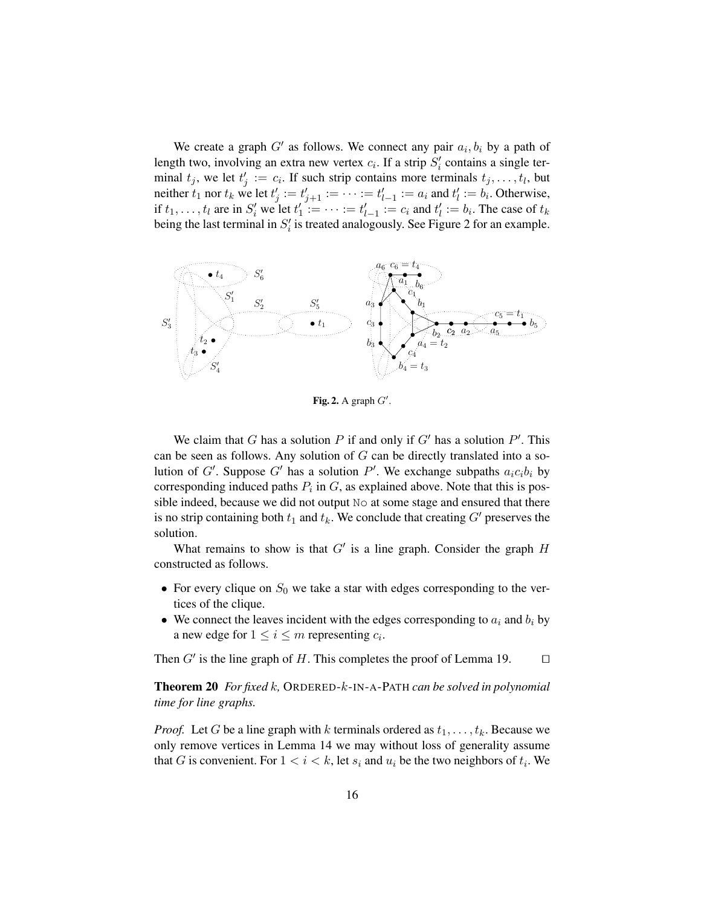We create a graph  $G'$  as follows. We connect any pair  $a_i, b_i$  by a path of length two, involving an extra new vertex  $c_i$ . If a strip  $S_i'$  contains a single terminal  $t_j$ , we let  $t'_j := c_i$ . If such strip contains more terminals  $t_j, \ldots, t_l$ , but neither  $t_1$  nor  $t_k$  we let  $t'_j := t'_{j+1} := \cdots := t'_{l-1} := a_i$  and  $t'_l := b_i$ . Otherwise, if  $t_1, ..., t_l$  are in  $S'_i$  we let  $t'_1 := ... := t'_{l-1} := c_i$  and  $t'_l := b_i$ . The case of  $t_k$ being the last terminal in  $S_i'$  is treated analogously. See Figure 2 for an example.



Fig. 2. A graph  $G'$ .

We claim that G has a solution P if and only if  $G'$  has a solution P'. This can be seen as follows. Any solution of  $G$  can be directly translated into a solution of G'. Suppose G' has a solution P'. We exchange subpaths  $a_i c_i b_i$  by corresponding induced paths  $P_i$  in  $G$ , as explained above. Note that this is possible indeed, because we did not output No at some stage and ensured that there is no strip containing both  $t_1$  and  $t_k$ . We conclude that creating  $G'$  preserves the solution.

What remains to show is that  $G'$  is a line graph. Consider the graph  $H$ constructed as follows.

- For every clique on  $S_0$  we take a star with edges corresponding to the vertices of the clique.
- We connect the leaves incident with the edges corresponding to  $a_i$  and  $b_i$  by a new edge for  $1 \le i \le m$  representing  $c_i$ .

Then  $G'$  is the line graph of H. This completes the proof of Lemma 19.  $\Box$ 

Theorem 20 *For fixed* k*,* ORDERED-k-IN-A-PATH *can be solved in polynomial time for line graphs.*

*Proof.* Let G be a line graph with k terminals ordered as  $t_1, \ldots, t_k$ . Because we only remove vertices in Lemma 14 we may without loss of generality assume that G is convenient. For  $1 < i < k$ , let  $s_i$  and  $u_i$  be the two neighbors of  $t_i$ . We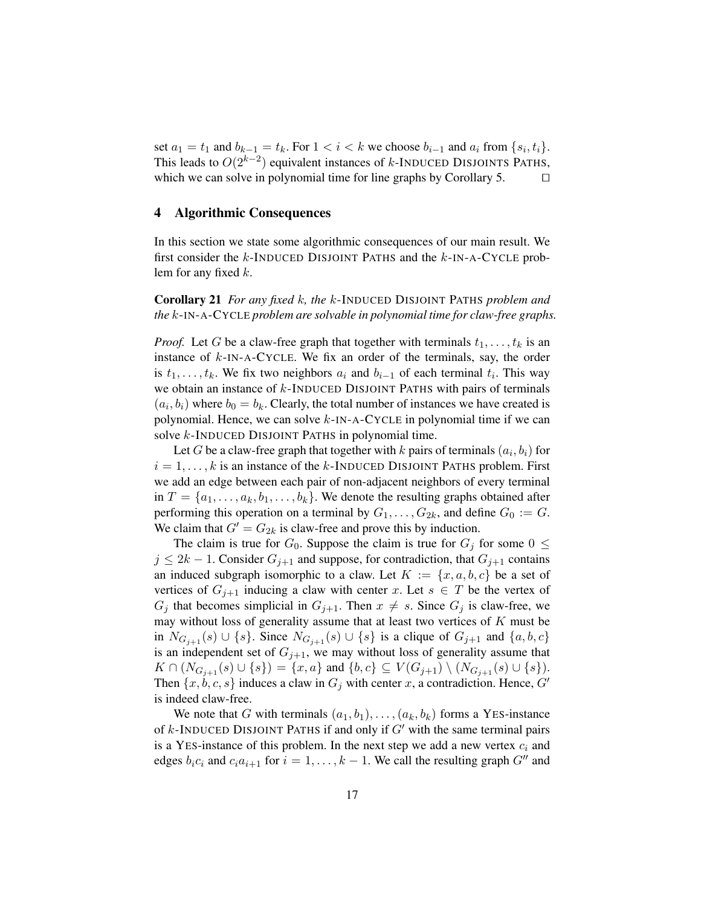set  $a_1 = t_1$  and  $b_{k-1} = t_k$ . For  $1 < i < k$  we choose  $b_{i-1}$  and  $a_i$  from  $\{s_i, t_i\}$ . This leads to  $O(2^{k-2})$  equivalent instances of k-INDUCED DISJOINTS PATHS, which we can solve in polynomial time for line graphs by Corollary 5.  $\Box$ 

### 4 Algorithmic Consequences

In this section we state some algorithmic consequences of our main result. We first consider the  $k$ -INDUCED DISJOINT PATHS and the  $k$ -IN-A-CYCLE problem for any fixed  $k$ .

Corollary 21 *For any fixed* k*, the* k-INDUCED DISJOINT PATHS *problem and the* k-IN-A-CYCLE *problem are solvable in polynomial time for claw-free graphs.*

*Proof.* Let G be a claw-free graph that together with terminals  $t_1, \ldots, t_k$  is an instance of  $k$ -IN-A-CYCLE. We fix an order of the terminals, say, the order is  $t_1, \ldots, t_k$ . We fix two neighbors  $a_i$  and  $b_{i-1}$  of each terminal  $t_i$ . This way we obtain an instance of  $k$ -INDUCED DISJOINT PATHS with pairs of terminals  $(a_i, b_i)$  where  $b_0 = b_k$ . Clearly, the total number of instances we have created is polynomial. Hence, we can solve k-IN-A-CYCLE in polynomial time if we can solve k-INDUCED DISJOINT PATHS in polynomial time.

Let  $G$  be a claw-free graph that together with  $k$  pairs of terminals  $(a_i, b_i)$  for  $i = 1, \ldots, k$  is an instance of the k-INDUCED DISJOINT PATHS problem. First we add an edge between each pair of non-adjacent neighbors of every terminal in  $T = \{a_1, \ldots, a_k, b_1, \ldots, b_k\}$ . We denote the resulting graphs obtained after performing this operation on a terminal by  $G_1, \ldots, G_{2k}$ , and define  $G_0 := G$ . We claim that  $G' = G_{2k}$  is claw-free and prove this by induction.

The claim is true for  $G_0$ . Suppose the claim is true for  $G_j$  for some  $0 \leq$  $j \leq 2k - 1$ . Consider  $G_{j+1}$  and suppose, for contradiction, that  $G_{j+1}$  contains an induced subgraph isomorphic to a claw. Let  $K := \{x, a, b, c\}$  be a set of vertices of  $G_{j+1}$  inducing a claw with center x. Let  $s \in T$  be the vertex of  $G_i$  that becomes simplicial in  $G_{i+1}$ . Then  $x \neq s$ . Since  $G_i$  is claw-free, we may without loss of generality assume that at least two vertices of  $K$  must be in  $N_{G_{i+1}}(s) \cup \{s\}$ . Since  $N_{G_{i+1}}(s) \cup \{s\}$  is a clique of  $G_{j+1}$  and  $\{a, b, c\}$ is an independent set of  $G_{j+1}$ , we may without loss of generality assume that  $K \cap (N_{G_{j+1}}(s) \cup \{s\}) = \{x, a\}$  and  $\{b, c\} \subseteq V(G_{j+1}) \setminus (N_{G_{j+1}}(s) \cup \{s\}).$ Then  $\{x, b, c, s\}$  induces a claw in  $G_i$  with center x, a contradiction. Hence, G' is indeed claw-free.

We note that G with terminals  $(a_1, b_1), \ldots, (a_k, b_k)$  forms a YES-instance of  $k$ -INDUCED DISJOINT PATHS if and only if  $G'$  with the same terminal pairs is a YES-instance of this problem. In the next step we add a new vertex  $c_i$  and edges  $b_i c_i$  and  $c_i a_{i+1}$  for  $i = 1, ..., k - 1$ . We call the resulting graph  $G''$  and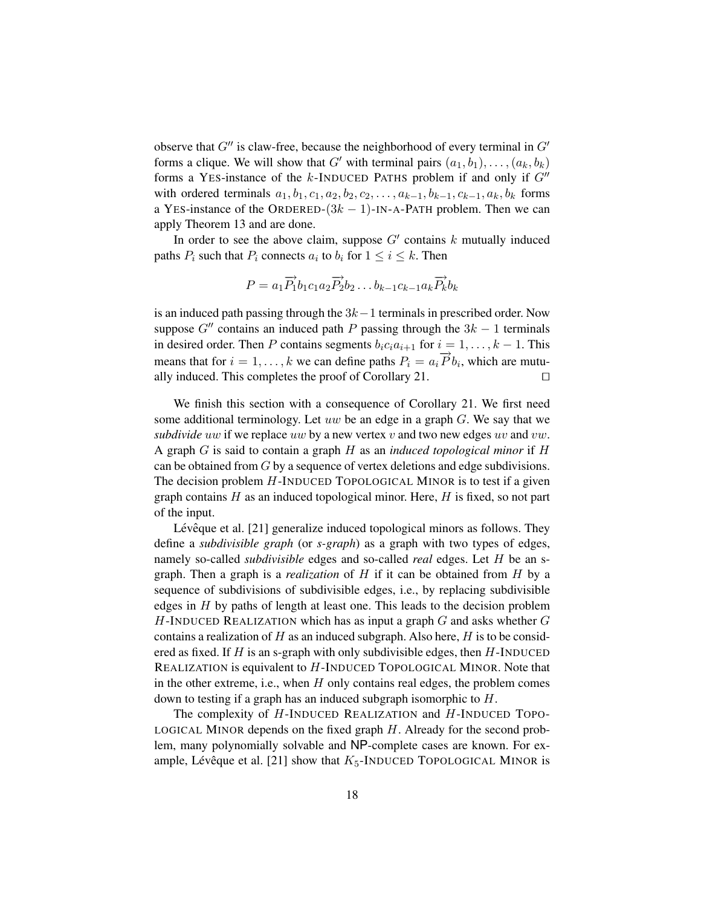observe that  $G''$  is claw-free, because the neighborhood of every terminal in  $G'$ forms a clique. We will show that G' with terminal pairs  $(a_1, b_1), \ldots, (a_k, b_k)$ forms a YES-instance of the k-INDUCED PATHS problem if and only if  $G''$ with ordered terminals  $a_1, b_1, c_1, a_2, b_2, c_2, \ldots, a_{k-1}, b_{k-1}, c_{k-1}, a_k, b_k$  forms a YES-instance of the ORDERED- $(3k - 1)$ -IN-A-PATH problem. Then we can apply Theorem 13 and are done.

In order to see the above claim, suppose  $G'$  contains k mutually induced paths  $P_i$  such that  $P_i$  connects  $a_i$  to  $b_i$  for  $1 \le i \le k$ . Then

$$
P = a_1 \overrightarrow{P_1} b_1 c_1 a_2 \overrightarrow{P_2} b_2 \dots b_{k-1} c_{k-1} a_k \overrightarrow{P_k} b_k
$$

is an induced path passing through the  $3k-1$  terminals in prescribed order. Now suppose  $G''$  contains an induced path P passing through the  $3k - 1$  terminals in desired order. Then P contains segments  $b_i c_i a_{i+1}$  for  $i = 1, \ldots, k - 1$ . This means that for  $i = 1, ..., k$  we can define paths  $P_i = a_i \overrightarrow{P} b_i$ , which are mutually induced. This completes the proof of Corollary 21.  $\Box$ 

We finish this section with a consequence of Corollary 21. We first need some additional terminology. Let uw be an edge in a graph  $G$ . We say that we *subdivide uw* if we replace uw by a new vertex  $v$  and two new edges  $uv$  and  $vw$ . A graph G is said to contain a graph H as an *induced topological minor* if H can be obtained from G by a sequence of vertex deletions and edge subdivisions. The decision problem  $H$ -INDUCED TOPOLOGICAL MINOR is to test if a given graph contains  $H$  as an induced topological minor. Here,  $H$  is fixed, so not part of the input.

Lévêque et al. [21] generalize induced topological minors as follows. They define a *subdivisible graph* (or *s-graph*) as a graph with two types of edges, namely so-called *subdivisible* edges and so-called *real* edges. Let H be an sgraph. Then a graph is a *realization* of H if it can be obtained from H by a sequence of subdivisions of subdivisible edges, i.e., by replacing subdivisible edges in  $H$  by paths of length at least one. This leads to the decision problem  $H$ -INDUCED REALIZATION which has as input a graph  $G$  and asks whether  $G$ contains a realization of  $H$  as an induced subgraph. Also here,  $H$  is to be considered as fixed. If  $H$  is an s-graph with only subdivisible edges, then  $H$ -INDUCED REALIZATION is equivalent to H-INDUCED TOPOLOGICAL MINOR. Note that in the other extreme, i.e., when  $H$  only contains real edges, the problem comes down to testing if a graph has an induced subgraph isomorphic to H.

The complexity of H-INDUCED REALIZATION and H-INDUCED TOPO-LOGICAL MINOR depends on the fixed graph  $H$ . Already for the second problem, many polynomially solvable and NP-complete cases are known. For example, Lévêque et al. [21] show that  $K_5$ -INDUCED TOPOLOGICAL MINOR is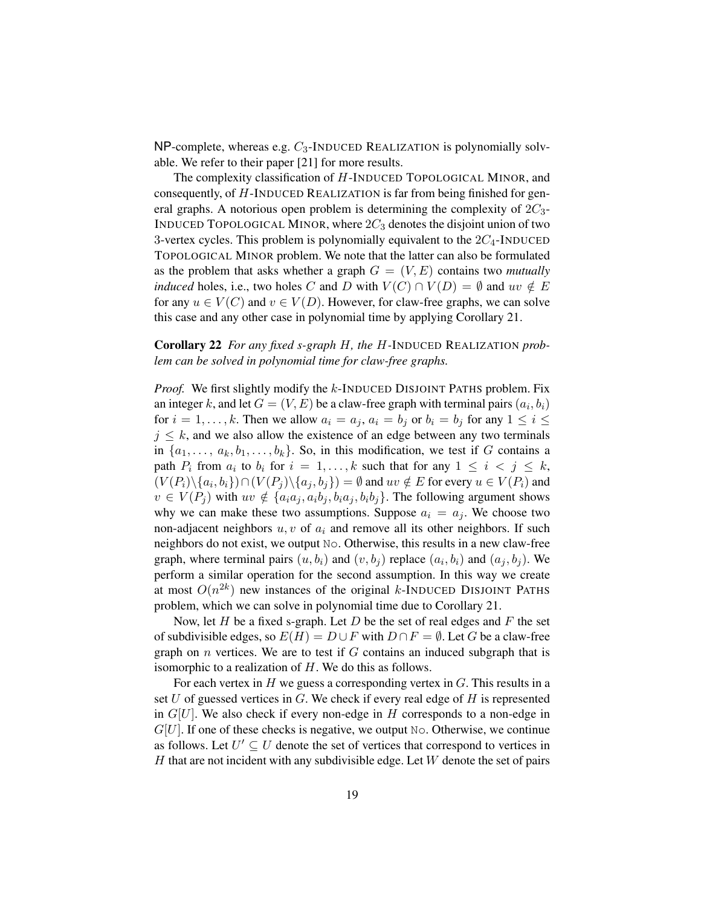$NP$ -complete, whereas e.g.  $C_3$ -INDUCED REALIZATION is polynomially solvable. We refer to their paper [21] for more results.

The complexity classification of H-INDUCED TOPOLOGICAL MINOR, and consequently, of H-INDUCED REALIZATION is far from being finished for general graphs. A notorious open problem is determining the complexity of  $2C_3$ -INDUCED TOPOLOGICAL MINOR, where  $2C_3$  denotes the disjoint union of two 3-vertex cycles. This problem is polynomially equivalent to the  $2C_4$ -INDUCED TOPOLOGICAL MINOR problem. We note that the latter can also be formulated as the problem that asks whether a graph  $G = (V, E)$  contains two *mutually induced* holes, i.e., two holes C and D with  $V(C) \cap V(D) = \emptyset$  and  $uv \notin E$ for any  $u \in V(C)$  and  $v \in V(D)$ . However, for claw-free graphs, we can solve this case and any other case in polynomial time by applying Corollary 21.

# Corollary 22 *For any fixed s-graph* H*, the* H*-*INDUCED REALIZATION *problem can be solved in polynomial time for claw-free graphs.*

*Proof.* We first slightly modify the k-INDUCED DISJOINT PATHS problem. Fix an integer k, and let  $G = (V, E)$  be a claw-free graph with terminal pairs  $(a_i, b_i)$ for  $i = 1, \ldots, k$ . Then we allow  $a_i = a_j$ ,  $a_i = b_j$  or  $b_i = b_j$  for any  $1 \le i \le k$  $j \leq k$ , and we also allow the existence of an edge between any two terminals in  $\{a_1, \ldots, a_k, b_1, \ldots, b_k\}$ . So, in this modification, we test if G contains a path  $P_i$  from  $a_i$  to  $b_i$  for  $i = 1, ..., k$  such that for any  $1 \leq i \leq j \leq k$ ,  $(V(P_i)\setminus\{a_i,b_i\})\cap (V(P_j)\setminus\{a_j,b_j\})=\emptyset$  and  $uv\notin E$  for every  $u\in V(P_i)$  and  $v \in V(P_i)$  with  $uv \notin \{a_i a_j, a_i b_j, b_i a_j, b_i b_j\}$ . The following argument shows why we can make these two assumptions. Suppose  $a_i = a_j$ . We choose two non-adjacent neighbors  $u, v$  of  $a_i$  and remove all its other neighbors. If such neighbors do not exist, we output No. Otherwise, this results in a new claw-free graph, where terminal pairs  $(u, b_i)$  and  $(v, b_j)$  replace  $(a_i, b_i)$  and  $(a_j, b_j)$ . We perform a similar operation for the second assumption. In this way we create at most  $O(n^{2k})$  new instances of the original k-INDUCED DISJOINT PATHS problem, which we can solve in polynomial time due to Corollary 21.

Now, let  $H$  be a fixed s-graph. Let  $D$  be the set of real edges and  $F$  the set of subdivisible edges, so  $E(H) = D \cup F$  with  $D \cap F = \emptyset$ . Let G be a claw-free graph on  $n$  vertices. We are to test if  $G$  contains an induced subgraph that is isomorphic to a realization of  $H$ . We do this as follows.

For each vertex in  $H$  we guess a corresponding vertex in  $G$ . This results in a set  $U$  of guessed vertices in  $G$ . We check if every real edge of  $H$  is represented in  $G[U]$ . We also check if every non-edge in H corresponds to a non-edge in  $G[U]$ . If one of these checks is negative, we output No. Otherwise, we continue as follows. Let  $U' \subseteq U$  denote the set of vertices that correspond to vertices in H that are not incident with any subdivisible edge. Let  $W$  denote the set of pairs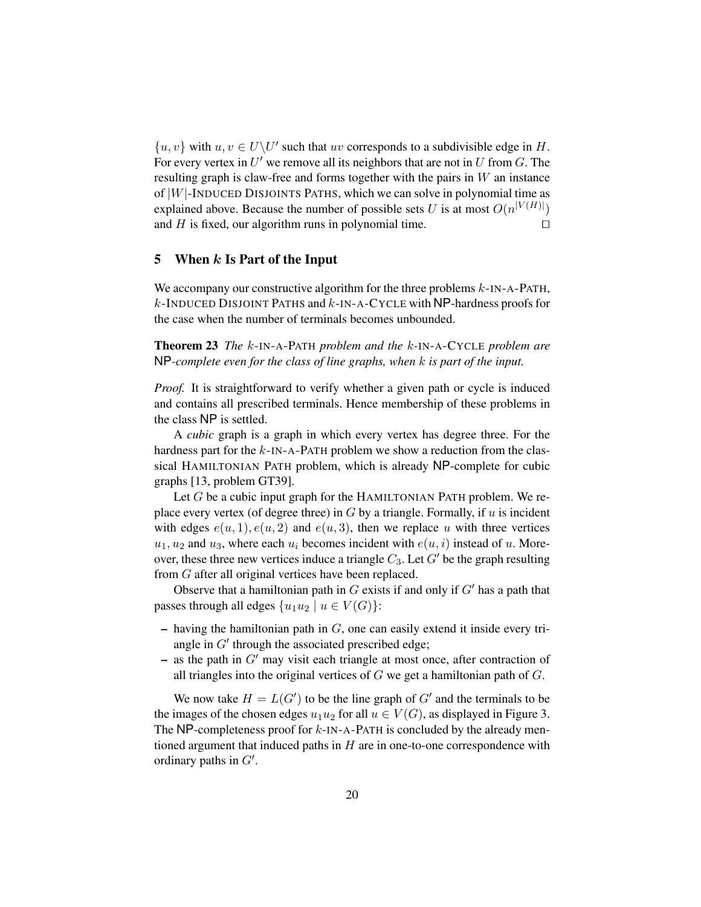$\{u, v\}$  with  $u, v \in U\backslash U'$  such that uv corresponds to a subdivisible edge in H. For every vertex in  $U'$  we remove all its neighbors that are not in U from G. The resulting graph is claw-free and forms together with the pairs in  $W$  an instance of  $|W|$ -INDUCED DISJOINTS PATHS, which we can solve in polynomial time as explained above. Because the number of possible sets U is at most  $O(n^{|V(H)|})$ and  $H$  is fixed, our algorithm runs in polynomial time.  $\Box$ 

### 5 When  $k$  Is Part of the Input

We accompany our constructive algorithm for the three problems  $k$ -IN-A-PATH,  $k$ -INDUCED DISJOINT PATHS and  $k$ -IN-A-CYCLE with NP-hardness proofs for the case when the number of terminals becomes unbounded.

Theorem 23 *The* k-IN-A-PATH *problem and the* k*-*IN-A-CYCLE *problem are* NP*-complete even for the class of line graphs, when* k *is part of the input.*

*Proof.* It is straightforward to verify whether a given path or cycle is induced and contains all prescribed terminals. Hence membership of these problems in the class NP is settled.

A *cubic* graph is a graph in which every vertex has degree three. For the hardness part for the  $k$ -IN-A-PATH problem we show a reduction from the classical HAMILTONIAN PATH problem, which is already NP-complete for cubic graphs [13, problem GT39].

Let  $G$  be a cubic input graph for the HAMILTONIAN PATH problem. We replace every vertex (of degree three) in  $G$  by a triangle. Formally, if  $u$  is incident with edges  $e(u, 1), e(u, 2)$  and  $e(u, 3)$ , then we replace u with three vertices  $u_1, u_2$  and  $u_3$ , where each  $u_i$  becomes incident with  $e(u, i)$  instead of u. Moreover, these three new vertices induce a triangle  $C_3$ . Let  $G'$  be the graph resulting from G after all original vertices have been replaced.

Observe that a hamiltonian path in  $G$  exists if and only if  $G'$  has a path that passes through all edges  $\{u_1u_2 \mid u \in V(G)\}$ :

- $-$  having the hamiltonian path in  $G$ , one can easily extend it inside every triangle in  $G'$  through the associated prescribed edge;
- as the path in  $G'$  may visit each triangle at most once, after contraction of all triangles into the original vertices of  $G$  we get a hamiltonian path of  $G$ .

We now take  $H = L(G')$  to be the line graph of  $G'$  and the terminals to be the images of the chosen edges  $u_1u_2$  for all  $u \in V(G)$ , as displayed in Figure 3. The NP-completeness proof for  $k$ -IN-A-PATH is concluded by the already mentioned argument that induced paths in  $H$  are in one-to-one correspondence with ordinary paths in  $G'$ .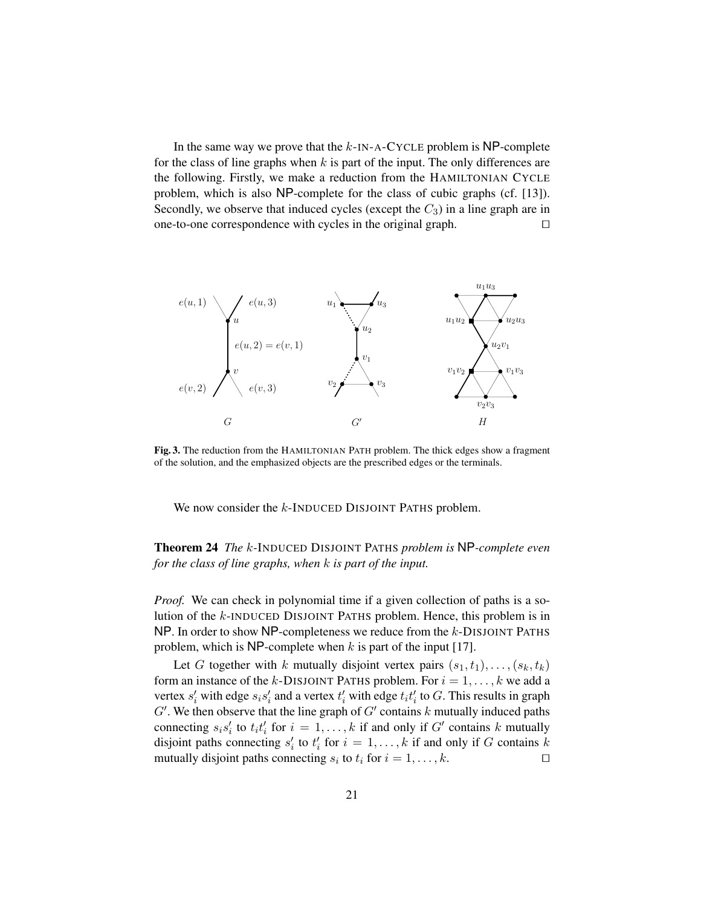In the same way we prove that the  $k$ -IN-A-CYCLE problem is NP-complete for the class of line graphs when  $k$  is part of the input. The only differences are the following. Firstly, we make a reduction from the HAMILTONIAN CYCLE problem, which is also NP-complete for the class of cubic graphs (cf. [13]). Secondly, we observe that induced cycles (except the  $C_3$ ) in a line graph are in one-to-one correspondence with cycles in the original graph.  $\Box$ 



Fig. 3. The reduction from the HAMILTONIAN PATH problem. The thick edges show a fragment of the solution, and the emphasized objects are the prescribed edges or the terminals.

We now consider the k-INDUCED DISJOINT PATHS problem.

# Theorem 24 *The* k*-*INDUCED DISJOINT PATHS *problem is* NP*-complete even for the class of line graphs, when* k *is part of the input.*

*Proof.* We can check in polynomial time if a given collection of paths is a solution of the k-INDUCED DISJOINT PATHS problem. Hence, this problem is in NP. In order to show NP-completeness we reduce from the k-DISJOINT PATHS problem, which is NP-complete when  $k$  is part of the input [17].

Let G together with k mutually disjoint vertex pairs  $(s_1, t_1), \ldots, (s_k, t_k)$ form an instance of the k-DISJOINT PATHS problem. For  $i = 1, ..., k$  we add a vertex  $s_i'$  with edge  $s_i s_i'$  and a vertex  $t_i'$  with edge  $t_i t_i'$  to  $G$ . This results in graph  $G'$ . We then observe that the line graph of  $G'$  contains k mutually induced paths connecting  $s_i s'_i$  to  $t_i t'_i$  for  $i = 1, ..., k$  if and only if  $G'$  contains k mutually disjoint paths connecting  $s'_i$  to  $t'_i$  for  $i = 1, \ldots, k$  if and only if G contains k mutually disjoint paths connecting  $s_i$  to  $t_i$  for  $i = 1, ..., k$ .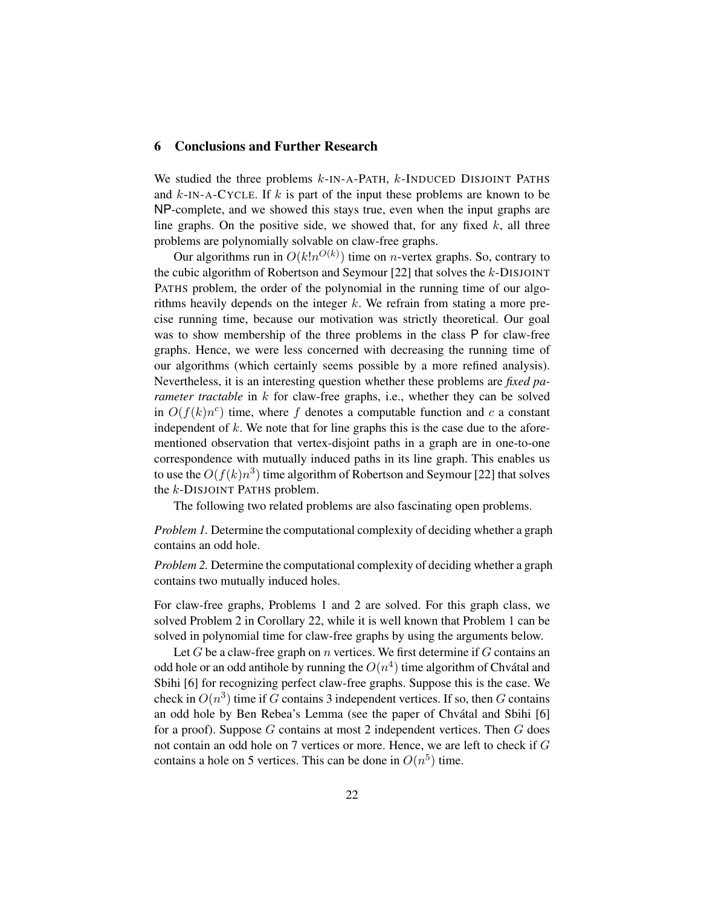## 6 Conclusions and Further Research

We studied the three problems  $k$ -IN-A-PATH,  $k$ -INDUCED DISJOINT PATHS and  $k$ -IN-A-CYCLE. If  $k$  is part of the input these problems are known to be NP-complete, and we showed this stays true, even when the input graphs are line graphs. On the positive side, we showed that, for any fixed  $k$ , all three problems are polynomially solvable on claw-free graphs.

Our algorithms run in  $O(k!n^{O(k)})$  time on *n*-vertex graphs. So, contrary to the cubic algorithm of Robertson and Seymour [22] that solves the  $k$ -DISJOINT PATHS problem, the order of the polynomial in the running time of our algorithms heavily depends on the integer  $k$ . We refrain from stating a more precise running time, because our motivation was strictly theoretical. Our goal was to show membership of the three problems in the class P for claw-free graphs. Hence, we were less concerned with decreasing the running time of our algorithms (which certainly seems possible by a more refined analysis). Nevertheless, it is an interesting question whether these problems are *fixed parameter tractable* in k for claw-free graphs, i.e., whether they can be solved in  $O(f(k)n^c)$  time, where f denotes a computable function and c a constant independent of  $k$ . We note that for line graphs this is the case due to the aforementioned observation that vertex-disjoint paths in a graph are in one-to-one correspondence with mutually induced paths in its line graph. This enables us to use the  $O(f(k)n^3)$  time algorithm of Robertson and Seymour [22] that solves the k-DISJOINT PATHS problem.

The following two related problems are also fascinating open problems.

*Problem 1.* Determine the computational complexity of deciding whether a graph contains an odd hole.

*Problem 2.* Determine the computational complexity of deciding whether a graph contains two mutually induced holes.

For claw-free graphs, Problems 1 and 2 are solved. For this graph class, we solved Problem 2 in Corollary 22, while it is well known that Problem 1 can be solved in polynomial time for claw-free graphs by using the arguments below.

Let G be a claw-free graph on n vertices. We first determine if  $G$  contains an odd hole or an odd antihole by running the  $O(n^4)$  time algorithm of Chvátal and Sbihi [6] for recognizing perfect claw-free graphs. Suppose this is the case. We check in  $O(n^3)$  time if G contains 3 independent vertices. If so, then G contains an odd hole by Ben Rebea's Lemma (see the paper of Chvatal and Sbihi [6] ´ for a proof). Suppose  $G$  contains at most 2 independent vertices. Then  $G$  does not contain an odd hole on 7 vertices or more. Hence, we are left to check if G contains a hole on 5 vertices. This can be done in  $O(n^5)$  time.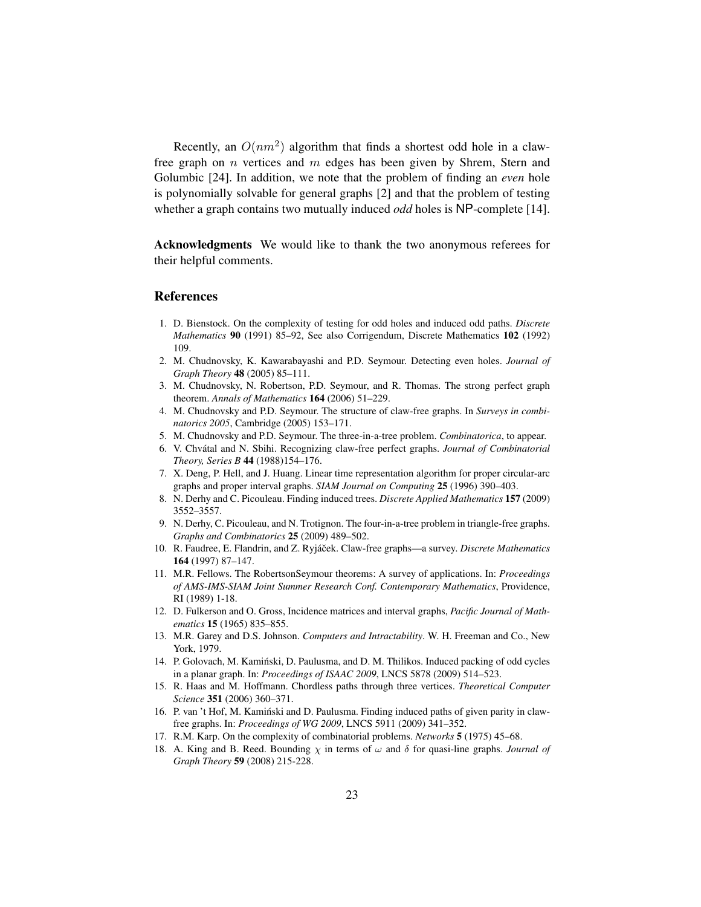Recently, an  $O(nm^2)$  algorithm that finds a shortest odd hole in a clawfree graph on  $n$  vertices and  $m$  edges has been given by Shrem, Stern and Golumbic [24]. In addition, we note that the problem of finding an *even* hole is polynomially solvable for general graphs [2] and that the problem of testing whether a graph contains two mutually induced *odd* holes is NP-complete [14].

Acknowledgments We would like to thank the two anonymous referees for their helpful comments.

#### References

- 1. D. Bienstock. On the complexity of testing for odd holes and induced odd paths. *Discrete Mathematics* 90 (1991) 85–92, See also Corrigendum, Discrete Mathematics 102 (1992) 109.
- 2. M. Chudnovsky, K. Kawarabayashi and P.D. Seymour. Detecting even holes. *Journal of Graph Theory* 48 (2005) 85–111.
- 3. M. Chudnovsky, N. Robertson, P.D. Seymour, and R. Thomas. The strong perfect graph theorem. *Annals of Mathematics* 164 (2006) 51–229.
- 4. M. Chudnovsky and P.D. Seymour. The structure of claw-free graphs. In *Surveys in combinatorics 2005*, Cambridge (2005) 153–171.
- 5. M. Chudnovsky and P.D. Seymour. The three-in-a-tree problem. *Combinatorica*, to appear.
- 6. V. Chvatal and N. Sbihi. Recognizing claw-free perfect graphs. ´ *Journal of Combinatorial Theory, Series B* 44 (1988)154–176.
- 7. X. Deng, P. Hell, and J. Huang. Linear time representation algorithm for proper circular-arc graphs and proper interval graphs. *SIAM Journal on Computing* 25 (1996) 390–403.
- 8. N. Derhy and C. Picouleau. Finding induced trees. *Discrete Applied Mathematics* 157 (2009) 3552–3557.
- 9. N. Derhy, C. Picouleau, and N. Trotignon. The four-in-a-tree problem in triangle-free graphs. *Graphs and Combinatorics* 25 (2009) 489–502.
- 10. R. Faudree, E. Flandrin, and Z. Ryjáček. Claw-free graphs—a survey. *Discrete Mathematics* 164 (1997) 87–147.
- 11. M.R. Fellows. The RobertsonSeymour theorems: A survey of applications. In: *Proceedings of AMS-IMS-SIAM Joint Summer Research Conf. Contemporary Mathematics*, Providence, RI (1989) 1-18.
- 12. D. Fulkerson and O. Gross, Incidence matrices and interval graphs, *Pacific Journal of Mathematics* 15 (1965) 835–855.
- 13. M.R. Garey and D.S. Johnson. *Computers and Intractability*. W. H. Freeman and Co., New York, 1979.
- 14. P. Golovach, M. Kaminski, D. Paulusma, and D. M. Thilikos. Induced packing of odd cycles ´ in a planar graph. In: *Proceedings of ISAAC 2009*, LNCS 5878 (2009) 514–523.
- 15. R. Haas and M. Hoffmann. Chordless paths through three vertices. *Theoretical Computer Science* 351 (2006) 360–371.
- 16. P. van 't Hof, M. Kamiński and D. Paulusma. Finding induced paths of given parity in clawfree graphs. In: *Proceedings of WG 2009*, LNCS 5911 (2009) 341–352.
- 17. R.M. Karp. On the complexity of combinatorial problems. *Networks* 5 (1975) 45–68.
- 18. A. King and B. Reed. Bounding  $\chi$  in terms of  $\omega$  and  $\delta$  for quasi-line graphs. *Journal of Graph Theory* 59 (2008) 215-228.